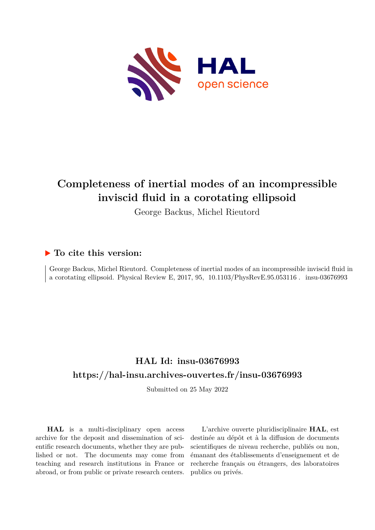

# **Completeness of inertial modes of an incompressible inviscid fluid in a corotating ellipsoid**

George Backus, Michel Rieutord

## **To cite this version:**

George Backus, Michel Rieutord. Completeness of inertial modes of an incompressible inviscid fluid in a corotating ellipsoid. Physical Review E, 2017, 95,  $10.1103/PhysRevE.95.053116$ . insu-03676993

## **HAL Id: insu-03676993 <https://hal-insu.archives-ouvertes.fr/insu-03676993>**

Submitted on 25 May 2022

**HAL** is a multi-disciplinary open access archive for the deposit and dissemination of scientific research documents, whether they are published or not. The documents may come from teaching and research institutions in France or abroad, or from public or private research centers.

L'archive ouverte pluridisciplinaire **HAL**, est destinée au dépôt et à la diffusion de documents scientifiques de niveau recherche, publiés ou non, émanant des établissements d'enseignement et de recherche français ou étrangers, des laboratoires publics ou privés.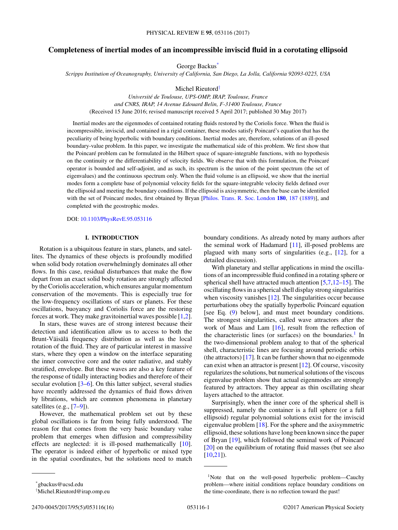## **Completeness of inertial modes of an incompressible inviscid fluid in a corotating ellipsoid**

George Backus\*

*Scripps Institution of Oceanography, University of California, San Diego, La Jolla, California 92093-0225, USA*

Michel Rieutord†

*Université de Toulouse, UPS-OMP, IRAP, Toulouse, France and CNRS, IRAP, 14 Avenue Edouard Belin, F-31400 Toulouse, France* (Received 15 June 2016; revised manuscript received 5 April 2017; published 30 May 2017)

Inertial modes are the eigenmodes of contained rotating fluids restored by the Coriolis force. When the fluid is incompressible, inviscid, and contained in a rigid container, these modes satisfy Poincaré's equation that has the peculiarity of being hyperbolic with boundary conditions. Inertial modes are, therefore, solutions of an ill-posed boundary-value problem. In this paper, we investigate the mathematical side of this problem. We first show that the Poincaré problem can be formulated in the Hilbert space of square-integrable functions, with no hypothesis on the continuity or the differentiability of velocity fields. We observe that with this formulation, the Poincaré operator is bounded and self-adjoint, and as such, its spectrum is the union of the point spectrum (the set of eigenvalues) and the continuous spectrum only. When the fluid volume is an ellipsoid, we show that the inertial modes form a complete base of polynomial velocity fields for the square-integrable velocity fields defined over the ellipsoid and meeting the boundary conditions. If the ellipsoid is axisymmetric, then the base can be identified with the set of Poincaré modes, first obtained by Bryan [\[Philos. Trans. R. Soc. London](https://doi.org/10.1098/rsta.1889.0006) **[180](https://doi.org/10.1098/rsta.1889.0006)**, [187](https://doi.org/10.1098/rsta.1889.0006) [\(1889\)](https://doi.org/10.1098/rsta.1889.0006)], and completed with the geostrophic modes.

DOI: [10.1103/PhysRevE.95.053116](https://doi.org/10.1103/PhysRevE.95.053116)

## **I. INTRODUCTION**

Rotation is a ubiquitous feature in stars, planets, and satellites. The dynamics of these objects is profoundly modified when solid body rotation overwhelmingly dominates all other flows. In this case, residual disturbances that make the flow depart from an exact solid body rotation are strongly affected by the Coriolis acceleration, which ensures angular momentum conservation of the movements. This is especially true for the low-frequency oscillations of stars or planets. For these oscillations, buoyancy and Coriolis force are the restoring forces at work. They make gravitoinertial waves possible [1,2].

In stars, these waves are of strong interest because their detection and identification allow us to access to both the Brunt-Väisälä frequency distribution as well as the local rotation of the fluid. They are of particular interest in massive stars, where they open a window on the interface separating the inner convective core and the outer radiative, and stably stratified, envelope. But these waves are also a key feature of the response of tidally interacting bodies and therefore of their secular evolution [3–6]. On this latter subject, several studies have recently addressed the dynamics of fluid flows driven by librations, which are common phenomena in planetary satellites (e.g.,  $[7-9]$ ).

However, the mathematical problem set out by these global oscillations is far from being fully understood. The reason for that comes from the very basic boundary value problem that emerges when diffusion and compressibility effects are neglected: it is ill-posed mathematically [10]. The operator is indeed either of hyperbolic or mixed type in the spatial coordinates, but the solutions need to match boundary conditions. As already noted by many authors after the seminal work of Hadamard [11], ill-posed problems are plagued with many sorts of singularities (e.g., [12], for a detailed discussion).

With planetary and stellar applications in mind the oscillations of an incompressible fluid confined in a rotating sphere or spherical shell have attracted much attention [5,7,12–15]. The oscillating flows in a spherical shell display strong singularities when viscosity vanishes  $[12]$ . The singularities occur because perturbations obey the spatially hyperbolic Poincaré equation [see Eq. (9) below], and must meet boundary conditions. The strongest singularities, called wave attractors after the work of Maas and Lam [16], result from the reflection of the characteristic lines (or surfaces) on the boundaries.<sup>1</sup> In the two-dimensional problem analog to that of the spherical shell, characteristic lines are focusing around periodic orbits (the attractors) [17]. It can be further shown that no eigenmode can exist when an attractor is present [12]. Of course, viscosity regularizes the solutions, but numerical solutions of the viscous eigenvalue problem show that actual eigenmodes are strongly featured by attractors. They appear as thin oscillating shear layers attached to the attractor.

Surprisingly, when the inner core of the spherical shell is suppressed, namely the container is a full sphere (or a full ellipsoid) regular polynomial solutions exist for the inviscid eigenvalue problem [18]. For the sphere and the axisymmetric ellipsoid, these solutions have long been known since the paper of Bryan [19], which followed the seminal work of Poincaré [20] on the equilibrium of rotating fluid masses (but see also  $[10,21]$ ).

<sup>\*</sup>gbackus@ucsd.edu

<sup>†</sup> Michel.Rieutord@irap.omp.eu

<sup>&</sup>lt;sup>1</sup>Note that on the well-posed hyperbolic problem—Cauchy problem—where initial conditions replace boundary conditions on the time-coordinate, there is no reflection toward the past!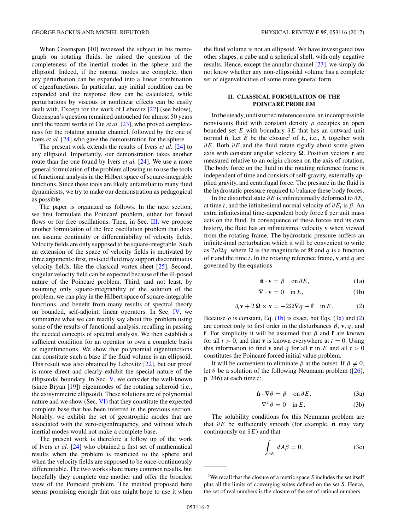When Greenspan [10] reviewed the subject in his monograph on rotating fluids, he raised the question of the completeness of the inertial modes in the sphere and the ellipsoid. Indeed, if the normal modes are complete, then any perturbation can be expanded into a linear combination of eigenfunctions. In particular, any initial condition can be expanded and the response flow can be calculated, while perturbations by viscous or nonlinear effects can be easily dealt with. Except for the work of Lebovitz [22] (see below), Greenspan's question remained untouched for almost 50 years until the recent works of Cui *et al.* [23], who proved completeness for the rotating annular channel, followed by the one of Ivers *et al.* [24] who gave the demonstration for the sphere.

The present work extends the results of Ivers *et al.* [24] to any ellipsoid. Importantly, our demonstration takes another route than the one found by Ivers *et al.* [24]. We use a more general formulation of the problem allowing us to use the tools of functional analysis in the Hilbert space of square-integrable functions. Since these tools are likely unfamiliar to many fluid dynamicists, we try to make our demonstration as pedagogical as possible.

The paper is organized as follows. In the next section, we first formulate the Poincaré problem, either for forced flows or for free oscillations. Then, in Sec. III, we propose another formulation of the free oscillation problem that does not assume continuity or differentiability of velocity fields. Velocity fields are only supposed to be square-integrable. Such an extension of the space of velocity fields is motivated by three arguments: first, inviscid fluid may support discontinuous velocity fields, like the classical vortex sheet [25]. Second, singular velocity field can be expected because of the ill-posed nature of the Poincaré problem. Third, and not least, by assuming only square-integrability of the solution of the problem, we can play in the Hilbert space of square-integrable functions, and benefit from many results of spectral theory on bounded, self-adjoint, linear operators. In Sec. IV, we summarize what we can readily say about this problem using some of the results of functional analysis, recalling in passing the needed concepts of spectral analysis. We then establish a sufficient condition for an operator to own a complete basis of eigenfunctions. We show that polynomial eigenfunctions can constitute such a base if the fluid volume is an ellipsoid. This result was also obtained by Lebovitz  $[22]$ , but our proof is more direct and clearly exhibit the special nature of the ellipsoidal boundary. In Sec. V, we consider the well-known (since Bryan [19]) eigenmodes of the rotating spheroid (i.e., the axisymmetric ellipsoid). These solutions are of polynomial nature and we show (Sec. VI) that they constitute the expected complete base that has been inferred in the previous section. Notably, we exhibit the set of geostrophic modes that are associated with the zero-eigenfrequency, and without which inertial modes would not make a complete base.

The present work is therefore a follow up of the work of Ivers *et al.* [24] who obtained a first set of mathematical results when the problem is restricted to the sphere and when the velocity fields are supposed to be once-continuously differentiable. The two works share many common results, but hopefully they complete one another and offer the broadest view of the Poincaré problem. The method proposed here seems promising enough that one might hope to use it when

the fluid volume is not an ellipsoid. We have investigated two other shapes, a cube and a spherical shell, with only negative results. Hence, except the annular channel [23], we simply do not know whether any non-ellipsoidal volume has a complete set of eigenvelocities of some more general form.

## **II. CLASSICAL FORMULATION OF THE POINCARÉ PROBLEM**

In the steady, undisturbed reference state, an incompressible nonviscous fluid with constant density *ρ* occupies an open bounded set *E* with boundary *∂E* that has an outward unit normal  $\hat{\mathbf{n}}$ . Let  $\overline{E}$  be the closure<sup>2</sup> of *E*, i.e., *E* together with *∂E*. Both *∂E* and the fluid rotate rigidly about some given axis with constant angular velocity  $\Omega$ . Position vectors **r** are measured relative to an origin chosen on the axis of rotation. The body force on the fluid in the rotating reference frame is independent of time and consists of self-gravity, externally applied gravity, and centrifugal force. The pressure in the fluid is the hydrostatic pressure required to balance these body forces.

In the disturbed state  $∂E$  is infinitesimally deformed to  $∂E_t$ at time *t*, and the infinitesimal normal velocity of  $\partial E_t$  is  $\beta$ . An extra infinitesimal time-dependent body force **f** per unit mass acts on the fluid. In consequence of these forces and its own history, the fluid has an infinitesimal velocity **v** when viewed from the rotating frame. The hydrostatic pressure suffers an infinitesimal perturbation which it will be convenient to write as  $2\rho\Omega q$ , where  $\Omega$  is the magnitude of  $\Omega$  and q is a function of **r** and the time *t*. In the rotating reference frame, **v** and *q* are governed by the equations

$$
\hat{\mathbf{n}} \cdot \mathbf{v} = \beta \quad \text{on } \partial E,\tag{1a}
$$

$$
\nabla \cdot \mathbf{v} = 0 \quad \text{in } E,\tag{1b}
$$

$$
\partial_t \mathbf{v} + 2 \, \Omega \times \mathbf{v} = -2 \Omega \nabla q + \mathbf{f} \quad \text{in } E. \tag{2}
$$

Because  $\rho$  is constant, Eq. (1b) is exact, but Eqs. (1a) and (2) are correct only to first order in the disturbances  $\beta$ , **v***, q*, and **f**. For simplicity it will be assumed that *β* and **f** are known for all  $t > 0$ , and that **v** is known everywhere at  $t = 0$ . Using this information to find **v** and *q* for all **r** in *E* and all  $t > 0$ constitutes the Poincaré forced initial value problem.

It will be convenient to eliminate  $\beta$  at the outset. If  $\beta \neq 0$ , let  $\theta$  be a solution of the following Neumann problem ([26], p. 246) at each time *t*:

$$
\hat{\mathbf{n}} \cdot \nabla \theta = \beta \quad \text{on } \partial E,\tag{3a}
$$

$$
\nabla^2 \theta = 0 \quad \text{in } E. \tag{3b}
$$

The solubility conditions for this Neumann problem are that  $\partial E$  be sufficiently smooth (for example, **n**̂ may vary continuously on *∂E*) and that

$$
\int_{\partial E} dA\beta = 0, \tag{3c}
$$

<sup>2</sup>We recall that the closure of a metric space *S* includes the set itself plus all the limits of converging suites defined on the set *S*. Hence, the set of real numbers is the closure of the set of rational numbers.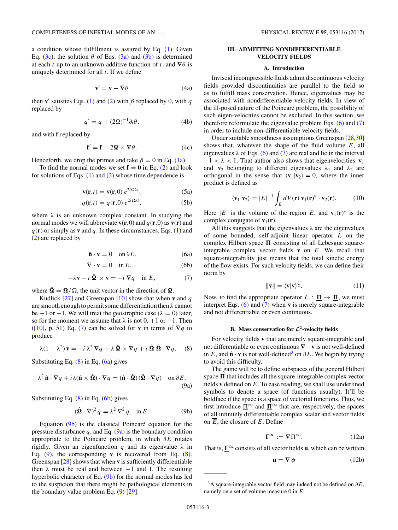a condition whose fulfillment is assured by Eq. (1). Given Eq. (3c), the solution  $\theta$  of Eqs. (3a) and (3b) is determined at each *t* up to an unknown additive function of *t*, and  $\nabla \theta$  is uniquely determined for all *t*. If we define

$$
\mathbf{v}' = \mathbf{v} - \nabla \theta \tag{4a}
$$

then **v**' satisfies Eqs. (1) and (2) with  $\beta$  replaced by 0, with  $q$ replaced by

$$
q' = q + (2\Omega)^{-1} \partial_t \theta,\tag{4b}
$$

and with **f** replaced by

$$
\mathbf{f}' = \mathbf{f} - 2\mathbf{\Omega} \times \nabla \theta. \tag{4c}
$$

Henceforth, we drop the primes and take  $\beta = 0$  in Eq. (1a).

To find the normal modes we set  $f = 0$  in Eq. (2) and look for solutions of Eqs.  $(1)$  and  $(2)$  whose time dependence is

$$
\mathbf{v}(\mathbf{r},t) = \mathbf{v}(\mathbf{r},0) e^{2i\Omega\lambda t},\tag{5a}
$$

$$
q(\mathbf{r},t) = q(\mathbf{r},0) e^{2i\Omega\lambda t},
$$
 (5b)

where  $\lambda$  is an unknown complex constant. In studying the normal modes we will abbreviate  $\mathbf{v}(\mathbf{r},0)$  and  $q(\mathbf{r},0)$  as  $\mathbf{v}(\mathbf{r})$  and  $q(\mathbf{r})$  or simply as **v** and  $q$ . In these circumstances, Eqs. (1) and (2) are replaced by

$$
\hat{\mathbf{n}} \cdot \mathbf{v} = 0 \quad \text{on } \partial E,\tag{6a}
$$

$$
\nabla \cdot \mathbf{v} = 0 \quad \text{in } E,\tag{6b}
$$

$$
-\lambda \mathbf{v} + i \,\hat{\mathbf{\Omega}} \times \mathbf{v} = -i \,\nabla q \quad \text{in } E,\tag{7}
$$

where  $\hat{\Omega} = \Omega / \Omega$ , the unit vector in the direction of  $\Omega$ .

Kudlick [27] and Greenspan [10] show that when **v** and *q* are smooth enough to permit some differentiation then *λ* cannot be +1 or −1. We will treat the geostrophic case ( $\lambda = 0$ ) later, so for the moment we assume that  $\lambda$  is not  $0, +1$  or  $-1$ . Then ([10], p. 51) Eq. (7) can be solved for **v** in terms of  $\nabla q$  to produce

$$
\lambda (1 - \lambda^2) \mathbf{v} = -i \lambda^2 \nabla q + \lambda \,\hat{\mathbf{\Omega}} \times \nabla q + i \,\hat{\mathbf{\Omega}} \,\hat{\mathbf{\Omega}} \cdot \nabla q. \tag{8}
$$

Substituting Eq.  $(8)$  in Eq.  $(6a)$  gives

$$
\lambda^2 \,\hat{\mathbf{n}} \cdot \nabla q + i\lambda(\hat{\mathbf{n}} \times \hat{\mathbf{\Omega}}) \cdot \nabla q = (\hat{\mathbf{n}} \cdot \hat{\mathbf{\Omega}})(\hat{\mathbf{\Omega}} \cdot \nabla q) \quad \text{on } \partial E. \tag{9a}
$$

Substituting Eq.  $(8)$  in Eq.  $(6b)$  gives

$$
(\hat{\Omega} \cdot \nabla)^2 q = \lambda^2 \nabla^2 q \quad \text{in } E. \tag{9b}
$$

Equation (9b) is the classical Poincaré equation for the pressure disturbance  $q$ , and Eq. (9a) is the boundary condition appropriate to the Poincaré problem, in which *∂E* rotates rigidly. Given an eigenfunction *q* and its eigenvalue *λ* in Eq. (9), the corresponding **v** is recovered from Eq. (8). Greenspan [28] shows that when **v** is sufficiently differentiable then  $\lambda$  must be real and between  $-1$  and 1. The resulting hyperbolic character of Eq. (9b) for the normal modes has led to the suspicion that there might be pathological elements in the boundary value problem Eq. (9) [29].

## **III. ADMITTING NONDIFFERENTIABLE VELOCITY FIELDS**

#### **A. Introduction**

Inviscid incompressible fluids admit discontinuous velocity fields provided discontinuities are parallel to the field so as to fulfill mass conservation. Hence, eigenvalues may be associated with nondifferentiable velocity fields. In view of the ill-posed nature of the Poincaré problem, the possibility of such eigen-velocities cannot be excluded. In this section, we therefore reformulate the eigenvalue problem Eqs.  $(6)$  and  $(7)$ in order to include non-differentiable velocity fields.

Under suitable smoothness assumptions Greenspan [28,30] shows that, whatever the shape of the fluid volume *E*, all eigenvalues  $\lambda$  of Eqs. (6) and (7) are real and lie in the interval  $-1 < \lambda < 1$ . That author also shows that eigenvelocities **v**<sub>1</sub> and **v**<sub>2</sub> belonging to different eigenvalues  $\lambda_1$  and  $\lambda_2$  are orthogonal in the sense that  $\langle v_1 | v_2 \rangle = 0$ , where the inner product is defined as

$$
\langle \mathbf{v}_1 | \mathbf{v}_2 \rangle = |E|^{-1} \int_E dV(\mathbf{r}) \, \mathbf{v}_1(\mathbf{r})^* \cdot \mathbf{v}_2(\mathbf{r}). \tag{10}
$$

Here  $|E|$  is the volume of the region *E*, and  $\mathbf{v}_1(\mathbf{r})^*$  is the complex conjugate of  $\mathbf{v}_1(\mathbf{r})$ .

All this suggests that the eigenvalues *λ* are the eigenvalues of some bounded, self-adjoint linear operator *L* on the complex Hilbert space  $\Pi$  consisting of all Lebesgue squareintegrable complex vector fields **v** on *E*. We recall that square-integrability just means that the total kinetic energy of the flow exists. For such velocity fields, we can define their norm by

$$
\|\mathbf{v}\| = \langle \mathbf{v} | \mathbf{v} \rangle^{\frac{1}{2}}.
$$
 (11)

Now, to find the appropriate operator  $L : \Pi \to \Pi$ , we must interpret Eqs. (6) and (7) when **v** is merely square-integrable and not differentiable or even continuous.

#### **B.** Mass conservation for  $\mathcal{L}^2$ -velocity fields

For velocity fields **v** that are merely square-integrable and not differentiable or even continuous **∇** · **v** is not well-defined in *E*, and  $\hat{\mathbf{n}} \cdot \mathbf{v}$  is not well-defined<sup>3</sup> on  $\partial E$ . We begin by trying to avoid this difficulty.

The game will be to define subspaces of the general Hilbert space  $\overline{\mathbf{u}}$  that includes all the square-integrable complex vector fields **v** defined on *E*. To ease reading, we shall use underlined symbols to denote a space (of functions usually). It'll be boldface if the space is a space of vectorial functions. Thus, we first introduce  $\mathbf{\Pi}^{\infty}$  and  $\mathbf{\Pi}^{\infty}$  that are, respectively, the spaces of all infinitely differentiable complex scalar and vector fields on  $\overline{E}$ , the closure of  $E$ . Define

$$
\underline{\Gamma}^{\infty} := \nabla \Pi^{\infty}.
$$
 (12a)

That is,  $\Gamma^{\infty}$  consists of all vector fields **u**, which can be written

$$
\mathbf{u} = \nabla \phi \tag{12b}
$$

<sup>3</sup>A square-integrable vector field may indeed not be defined on *∂E*, namely on a set of volume measure 0 in *E*.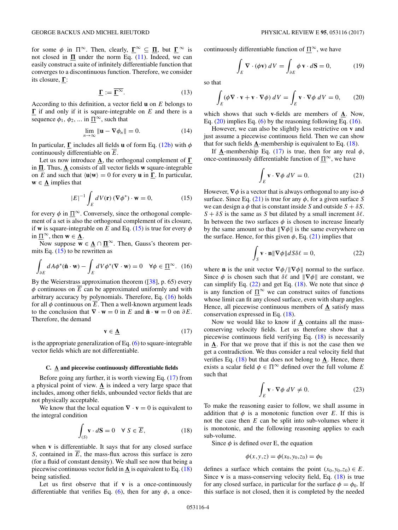for some  $\phi$  in  $\Pi^{\infty}$ . Then, clearly,  $\underline{\Gamma}^{\infty} \subseteq \underline{\Pi}$ , but  $\underline{\Gamma}^{\infty}$  is not closed in  $\Pi$  under the norm Eq. (11). Indeed, we can easily construct a suite of infinitely differentiable function that converges to a discontinuous function. Therefore, we consider its closure,  $\Gamma$ :

$$
\underline{\Gamma} := \overline{\underline{\Gamma}^{\infty}}.
$$
 (13)

According to this definition, a vector field **u** on *E* belongs to  $\underline{\Gamma}$  if and only if it is square-integrable on *E* and there is a sequence  $\phi_1$ ,  $\phi_2$ , ... in  $\Pi^{\infty}$ , such that

$$
\lim_{n \to \infty} \|\mathbf{u} - \nabla \phi_n\| = 0. \tag{14}
$$

In particular,  $\Gamma$  includes all fields **u** of form Eq. (12b) with  $\phi$ continuously differentiable on *E*.

Let us now introduce  $\Lambda$ , the orthogonal complement of  $\Gamma$ in  $\Pi$ . Thus,  $\Lambda$  consists of all vector fields **w** square-integrable on *E* and such that  $\langle \mathbf{u} | \mathbf{w} \rangle = 0$  for every **u** in  $\Gamma$ . In particular,  $\mathbf{w} \in \Lambda$  implies that

$$
|E|^{-1} \int_{E} dV(\mathbf{r}) (\nabla \phi^*) \cdot \mathbf{w} = 0, \qquad (15)
$$

for every  $\phi$  in  $\underline{\Pi}^{\infty}$ . Conversely, since the orthogonal complement of a set is also the orthogonal complement of its closure, if **w** is square-integrable on *E* and Eq. (15) is true for every  $\phi$ in  $\Pi^{\infty}$ , then **w**  $\in \Lambda$ .

Now suppose  $\overline{\mathbf{w}} \in \underline{\Lambda} \cap \underline{\Pi}^{\infty}$ . Then, Gauss's theorem permits Eq.  $(15)$  to be rewritten as

$$
\int_{\partial E} dA \phi^*(\hat{\mathbf{n}} \cdot \mathbf{w}) - \int_E dV \phi^*(\nabla \cdot \mathbf{w}) = 0 \quad \forall \phi \in \underline{\Pi}^{\infty}.
$$
 (16)

By the Weierstrass approximation theorem  $(38]$ , p. 65) every  $\phi$  continuous on  $\overline{E}$  can be approximated uniformly and with arbitrary accuracy by polynomials. Therefore, Eq. (16) holds for all  $\phi$  continuous on  $\overline{E}$ . Then a well-known argument leads to the conclusion that  $\nabla \cdot \mathbf{w} = 0$  in *E* and  $\hat{\mathbf{n}} \cdot \mathbf{w} = 0$  on  $\partial E$ . Therefore, the demand

$$
\mathbf{v} \in \underline{\mathbf{\Lambda}} \tag{17}
$$

is the appropriate generalization of Eq.  $(6)$  to square-integrable vector fields which are not differentiable.

#### C.  $\Delta$  and piecewise continuously differentiable fields

Before going any further, it is worth viewing Eq. (17) from a physical point of view.  $\Delta$  is indeed a very large space that includes, among other fields, unbounded vector fields that are not physically acceptable.

We know that the local equation  $\nabla \cdot \mathbf{v} = 0$  is equivalent to the integral condition

$$
\int_{(S)} \mathbf{v} \cdot d\mathbf{S} = 0 \quad \forall \ S \in \overline{E}, \tag{18}
$$

when **v** is differentiable. It says that for any closed surface *S*, contained in  $\overline{E}$ , the mass-flux across this surface is zero (for a fluid of constant density). We shall see now that being a piecewise continuous vector field in  $\Delta$  is equivalent to Eq. (18) being satisfied.

Let us first observe that if **v** is a once-continuously differentiable that verifies Eq. (6), then for any  $\phi$ , a oncecontinuously differentiable function of  $\Pi^{\infty}$ , we have

$$
\int_{E} \nabla \cdot (\phi \mathbf{v}) \, dV = \int_{\partial E} \phi \, \mathbf{v} \cdot d\mathbf{S} = 0,\tag{19}
$$

so that

$$
\int_{E} (\phi \nabla \cdot \mathbf{v} + \mathbf{v} \cdot \nabla \phi) dV = \int_{E} \mathbf{v} \cdot \nabla \phi dV = 0, \qquad (20)
$$

which shows that such **v**-fields are members of  $\Delta$ . Now, Eq.  $(20)$  implies Eq.  $(6)$  by the reasoning following Eq.  $(16)$ .

However, we can also be slightly less restrictive on **v** and just assume a piecewise continuous field. Then we can show that for such fields  $\Delta$ -membership is equivalent to Eq. (18).

If  $\Delta$ -membership Eq. (17) is true, then for any real  $\phi$ , once-continuously differentiable function of  $\Pi^{\infty}$ , we have

$$
\int_{E} \mathbf{v} \cdot \nabla \phi \, dV = 0. \tag{21}
$$

However, **∇***φ* is a vector that is always orthogonal to any iso-*φ* surface. Since Eq.  $(21)$  is true for any  $\phi$ , for a given surface *S* we can design a  $\phi$  that is constant inside *S* and outside  $S + \delta S$ .  $S + \delta S$  is the same as *S* but dilated by a small increment  $\delta \ell$ . In between the two surfaces  $\phi$  is chosen to increase linearly by the same amount so that  $\|\nabla \phi\|$  is the same everywhere on the surface. Hence, for this given  $\phi$ , Eq. (21) implies that

$$
\int_{S} \mathbf{v} \cdot \mathbf{n} \|\nabla \phi\| dS \delta \ell = 0, \qquad (22)
$$

where **n** is the unit vector  $\nabla \phi / \|\nabla \phi\|$  normal to the surface. Since  $\phi$  is chosen such that  $\delta\ell$  and  $\|\nabla\phi\|$  are constant, we can simplify Eq.  $(22)$  and get Eq.  $(18)$ . We note that since  $\phi$ is any function of  $\mathbf{\Pi}^{\infty}$  we can construct suites of functions whose limit can fit any closed surface, even with sharp angles. Hence, all piecewise continuous members of  $\Lambda$  satisfy mass conservation expressed in Eq. (18).

Now we would like to know if  $\Delta$  contains all the massconserving velocity fields. Let us therefore show that a piecewise continuous field verifying Eq. (18) is necessarily in  $\Lambda$ . For that we prove that if this is not the case then we get a contradiction. We thus consider a real velocity field that verifies Eq. (18) but that does not belong to  $\Lambda$ . Hence, there exists a scalar field  $\phi \in \Pi^{\infty}$  defined over the full volume *E* such that

$$
\int_{E} \mathbf{v} \cdot \nabla \phi \, dV \neq 0. \tag{23}
$$

To make the reasoning easier to follow, we shall assume in addition that  $\phi$  is a monotonic function over *E*. If this is not the case then *E* can be split into sub-volumes where it is monotonic, and the following reasoning applies to each sub-volume.

Since  $\phi$  is defined over E, the equation

$$
\phi(x, y, z) = \phi(x_0, y_0, z_0) = \phi_0
$$

defines a surface which contains the point  $(x_0, y_0, z_0) \in E$ . Since **v** is a mass-conserving velocity field, Eq. (18) is true for any closed surface, in particular for the surface  $\phi = \phi_0$ . If this surface is not closed, then it is completed by the needed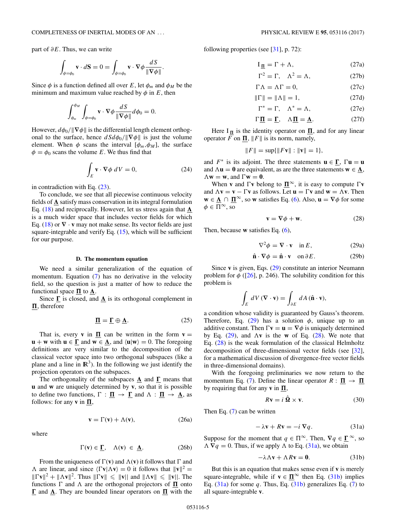part of *∂E*. Thus, we can write

$$
\int_{\phi=\phi_0} \mathbf{v} \cdot d\mathbf{S} = 0 = \int_{\phi=\phi_0} \mathbf{v} \cdot \nabla \phi \frac{dS}{\|\nabla \phi\|}.
$$

Since  $\phi$  is a function defined all over *E*, let  $\phi_m$  and  $\phi_M$  be the minimum and maximum value reached by  $\phi$  in *E*, then

$$
\int_{\phi_m}^{\phi_M} \int_{\phi=\phi_0} \mathbf{v} \cdot \nabla \phi \frac{dS}{\|\nabla \phi\|} d\phi_0 = 0.
$$

However,  $d\phi_0 / \|\nabla \phi\|$  is the differential length element orthogonal to the surface, hence  $dSd\phi_0/\|\nabla\phi\|$  is just the volume element. When  $\phi$  scans the interval  $[\phi_m, \phi_M]$ , the surface  $\phi = \phi_0$  scans the volume *E*. We thus find that

$$
\int_{E} \mathbf{v} \cdot \nabla \phi \, dV = 0,\tag{24}
$$

in contradiction with Eq. (23).

To conclude, we see that all piecewise continuous velocity fields of  $\Lambda$  satisfy mass conservation in its integral formulation Eq. (18) and reciprocally. However, let us stress again that  $\Lambda$ is a much wider space that includes vector fields for which Eq. (18) or  $\nabla \cdot \mathbf{v}$  may not make sense. Its vector fields are just square-integrable and verify Eq.  $(15)$ , which will be sufficient for our purpose.

#### **D. The momentum equation**

We need a similar generalization of the equation of momentum. Equation  $(7)$  has no derivative in the velocity field, so the question is just a matter of how to reduce the functional space  $\Pi$  to  $\Lambda$ .

Since  $\Gamma$  is closed, and  $\Lambda$  is its orthogonal complement in  $\Pi$ , therefore

$$
\underline{\Pi} = \underline{\Gamma} \oplus \underline{\Lambda}.
$$
 (25)

That is, every **v** in  $\Pi$  can be written in the form **v** = **u** + **w** with **u** ∈  $\Gamma$  and **w** ∈  $\Lambda$ , and  $\langle$ **u**|**w** $\rangle$  = 0. The foregoing definitions are very similar to the decomposition of the classical vector space into two orthogonal subspaces (like a plane and a line in  $\mathbb{R}^3$ ). In the following we just identify the projection operators on the subspaces.

The orthogonality of the subspaces  $\Lambda$  and  $\Gamma$  means that **u** and **w** are uniquely determined by **v**, so that it is possible to define two functions,  $\Gamma : \mathbf{\underline{\Pi}} \to \mathbf{\underline{\Gamma}}$  and  $\Lambda : \mathbf{\underline{\Pi}} \to \mathbf{\underline{\Lambda}}$ , as follows: for any  $\mathbf{v}$  in  $\mathbf{\Pi}$ ,

$$
\mathbf{v} = \Gamma(\mathbf{v}) + \Lambda(\mathbf{v}),\tag{26a}
$$

where

$$
\Gamma(\mathbf{v}) \in \underline{\Gamma}, \quad \Lambda(\mathbf{v}) \in \underline{\Lambda}.\tag{26b}
$$

From the uniqueness of  $\Gamma$ (**v**) and  $\Lambda$ (**v**) it follows that  $\Gamma$  and  $\Lambda$  are linear, and since  $\langle \Gamma \mathbf{v} | \Lambda \mathbf{v} \rangle = 0$  it follows that  $\|\mathbf{v}\|^2 =$  $\|\Gamma \mathbf{v}\|^2 + \|\Lambda \mathbf{v}\|^2$ . Thus  $\|\Gamma \mathbf{v}\| \leq \|\mathbf{v}\|$  and  $\|\Lambda \mathbf{v}\| \leq \|\mathbf{v}\|$ . The functions  $\Gamma$  and  $\Lambda$  are the orthogonal projectors of  $\Pi$  onto  $\Gamma$  and  $\Lambda$ . They are bounded linear operators on  $\Pi$  with the following properties (see [31], p. 72):

$$
I_{\underline{\Pi}} = \Gamma + \Lambda,\tag{27a}
$$

$$
\Gamma^2 = \Gamma, \quad \Lambda^2 = \Lambda,\tag{27b}
$$

$$
\Gamma \Lambda = \Lambda \Gamma = 0, \tag{27c}
$$

$$
\|\Gamma\| = \|\Lambda\| = 1,\tag{27d}
$$

$$
\Gamma^* = \Gamma, \quad \Lambda^* = \Lambda,\tag{27e}
$$

$$
\Gamma \underline{\Pi} = \underline{\Gamma}, \quad \Lambda \underline{\Pi} = \underline{\Lambda}.
$$
 (27f)

Here  $I_{\Pi}$  is the identity operator on  $\Pi$ , and for any linear operator *F* on  $\Pi$ ,  $\|F\|$  is its norm, namely,

$$
||F|| = \sup{||F\mathbf{v}|| : ||\mathbf{v}|| = 1},
$$

and  $F^*$  is its adjoint. The three statements  $\mathbf{u} \in \underline{\Gamma}$ ,  $\Gamma \mathbf{u} = \mathbf{u}$ and  $\Lambda$ **u** = **0** are equivalent, as are the three statements **w**  $\in \Lambda$ ,  $\Lambda$ **w** = **w**, and  $\Gamma$ **w** = **0**.

When **v** and  $\Gamma$ **v** belong to  $\Pi^{\infty}$ , it is easy to compute  $\Gamma$ **v** and  $\Lambda v = v - \Gamma v$  as follows. Let  $u = \Gamma v$  and  $w = \Lambda v$ . Then **w** ∈  $\Lambda$  ∩  $\Pi^{\infty}$ , so **w** satisfies Eq. (6). Also, **u** =  $\nabla \phi$  for some  $\phi \in \Pi^{\infty}$ , so

$$
\mathbf{v} = \nabla \phi + \mathbf{w}.\tag{28}
$$

Then, because **w** satisfies Eq. (6),

$$
\nabla^2 \phi = \nabla \cdot \mathbf{v} \quad \text{in } E,\tag{29a}
$$

$$
\hat{\mathbf{n}} \cdot \nabla \phi = \hat{\mathbf{n}} \cdot \mathbf{v} \quad \text{on } \partial E. \tag{29b}
$$

Since **v** is given, Eqs. (29) constitute an interior Neumann problem for  $\phi$  ([26], p. 246). The solubility condition for this problem is

$$
\int_{E} dV (\nabla \cdot \mathbf{v}) = \int_{\partial E} dA (\hat{\mathbf{n}} \cdot \mathbf{v}),
$$

a condition whose validity is guaranteed by Gauss's theorem. Therefore, Eq. (29) has a solution  $\phi$ , unique up to an additive constant. Then  $\Gamma$ **v** = **u** =  $\nabla$  $\phi$  is uniquely determined by Eq.  $(29)$ , and  $\Lambda v$  is the **w** of Eq.  $(28)$ . We note that Eq. (28) is the weak formulation of the classical Helmholtz decomposition of three-dimensional vector fields (see [32], for a mathematical discussion of divergence-free vector fields in three-dimensional domains).

With the foregoing preliminaries we now return to the momentum Eq. (7). Define the linear operator  $R: \mathbf{\Pi} \to \mathbf{\Pi}$ by requiring that for any  $\bf{v}$  in  $\bf{\Pi}$ ,

$$
R\mathbf{v} = i\,\,\hat{\mathbf{\Omega}} \times \mathbf{v}.\tag{30}
$$

Then Eq. (7) can be written

$$
-\lambda \mathbf{v} + R\mathbf{v} = -i \nabla q. \tag{31a}
$$

Suppose for the moment that  $q \in \Pi^{\infty}$ . Then,  $\nabla q \in \underline{\Gamma}^{\infty}$ , so  $\Lambda \nabla q = 0$ . Thus, if we apply  $\Lambda$  to Eq. (31a), we obtain

$$
-\lambda \Lambda \mathbf{v} + \Lambda R \mathbf{v} = \mathbf{0}.\tag{31b}
$$

But this is an equation that makes sense even if **v** is merely square-integrable, while if **v**  $\in \underline{\Pi}^{\infty}$  then Eq. (31b) implies Eq.  $(31a)$  for some q. Thus, Eq.  $(31b)$  generalizes Eq.  $(7)$  to all square-integrable **v**.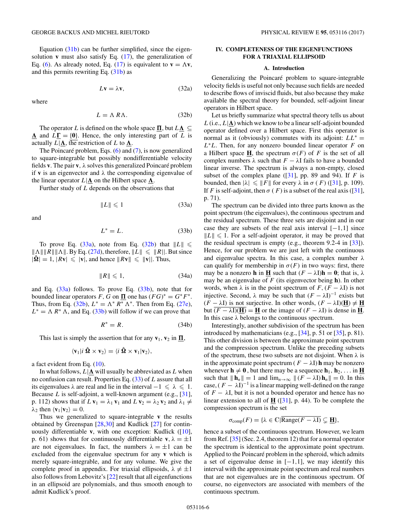Equation (31b) can be further simplified, since the eigensolution  $\bf{v}$  must also satisfy Eq.  $(17)$ , the generalization of Eq. (6). As already noted, Eq. (17) is equivalent to  $\mathbf{v} = \Lambda \mathbf{v}$ , and this permits rewriting Eq.  $(31b)$  as

$$
L\mathbf{v} = \lambda \mathbf{v},\tag{32a}
$$

where

$$
L = \Lambda \, R\Lambda. \tag{32b}
$$

The operator *L* is defined on the whole space  $\Pi$ , but  $L\underline{\Lambda} \subseteq$  $\underline{\Lambda}$  and  $L\underline{\Gamma} = \{0\}$ . Hence, the only interesting part of *L* is actually  $L|\Lambda$ , the restriction of L to  $\Lambda$ .

The Poincaré problem, Eqs. (6) and (7), is now generalized to square-integrable but possibly nondifferentiable velocity fields **v**. The pair **v***, λ* solves this generalized Poincaré problem if **v** is an eigenvector and *λ* the corresponding eigenvalue of the linear operator  $L|\Lambda$  on the Hilbert space  $\Lambda$ .

Further study of *L* depends on the observations that

$$
||L|| \leq 1 \tag{33a}
$$

and

$$
L^* = L. \tag{33b}
$$

To prove Eq. (33a), note from Eq. (32b) that  $||L|| \le$  $||\Lambda|| ||R|| ||\Lambda||$ . By Eq. (27d), therefore,  $||L|| \le ||R||$ . But since  $|\hat{\Omega}| = 1$ ,  $|R\mathbf{v}| \le |\mathbf{v}|$ , and hence  $||R\mathbf{v}|| \le ||\mathbf{v}||$ . Thus,

$$
||R|| \leq 1,\tag{34a}
$$

and Eq. (33a) follows. To prove Eq. (33b), note that for bounded linear operators *F*, *G* on  $\Pi$  one has  $(FG)^* = G^*F^*$ . Thus, from Eq. (32b),  $L^* = \Lambda^* R^* \Lambda^*$ . Then from Eq. (27e),  $L^* = \Lambda R^* \Lambda$ , and Eq. (33b) will follow if we can prove that

$$
R^* = R. \tag{34b}
$$

This last is simply the assertion that for any  $\mathbf{v}_1$ ,  $\mathbf{v}_2$  in  $\Pi$ ,

$$
\langle \mathbf{v}_1 | i \hat{\mathbf{\Omega}} \times \mathbf{v}_2 \rangle = \langle i \hat{\mathbf{\Omega}} \times \mathbf{v}_1 | \mathbf{v}_2 \rangle,
$$

a fact evident from Eq. (10).

In what follows,  $L|\Delta$  will usually be abbreviated as *L* when no confusion can result. Properties Eq. (33) of *L* assure that all its eigenvalues  $\lambda$  are real and lie in the interval  $-1 \leq \lambda \leq 1$ . Because *L* is self-adjoint, a well-known argument (e.g., [31], p. 112) shows that if  $L$ **v**<sub>1</sub> =  $\lambda_1$ **v**<sub>1</sub> and  $L$ **v**<sub>2</sub> =  $\lambda_2$ **v**<sub>2</sub> and  $\lambda_1 \neq$  $\lambda_2$  then  $\langle \mathbf{v}_1 | \mathbf{v}_2 \rangle = 0$ .

Thus we generalized to square-integrable **v** the results obtained by Greenspan [28,30] and Kudlick [27] for continuously differentiable **v**, with one exception: Kudlick ([10], p. 61) shows that for continuously differentiable **v**,  $\lambda = \pm 1$ are not eigenvalues. In fact, the numbers  $\lambda = \pm 1$  can be excluded from the eigenvalue spectrum for any **v** which is merely square-integrable, and for any volume. We give the complete proof in appendix. For triaxial ellipsoids,  $\lambda \neq \pm 1$ also follows from Lebovitz's [22] result that all eigenfunctions in an ellipsoid are polynomials, and thus smooth enough to admit Kudlick's proof.

## **IV. COMPLETENESS OF THE EIGENFUNCTIONS FOR A TRIAXIAL ELLIPSOID**

#### **A. Introduction**

Generalizing the Poincaré problem to square-integrable velocity fields is useful not only because such fields are needed to describe flows of inviscid fluids, but also because they make available the spectral theory for bounded, self-adjoint linear operators in Hilbert space.

Let us briefly summarize what spectral theory tells us about *L* (i.e.,  $L|\Delta$ ) which we know to be a linear self-adjoint bounded operator defined over a Hilbert space. First this operator is normal as it (obviously) commutes with its adjoint:  $LL^* =$ *L*<sup>∗</sup>*L*. Then, for any nonzero bounded linear operator *F* on a Hilbert space **H**, the spectrum  $\sigma(F)$  of *F* is the set of all complex numbers  $\lambda$  such that  $F - \lambda I$  fails to have a bounded linear inverse. The spectrum is always a non-empty, closed subset of the complex plane  $([31]$ , pp. 89 and 94). If *F* is bounded, then  $|\lambda| \leq ||F||$  for every  $\lambda$  in  $\sigma(F)$  ([31], p. 109). If *F* is self-adjoint, then  $\sigma$  (*F*) is a subset of the real axis ([31], p. 71).

The spectrum can be divided into three parts known as the point spectrum (the eigenvalues), the continuous spectrum and the residual spectrum. These three sets are disjoint and in our case they are subsets of the real axis interval [−1*,*1] since  $||L|| \le 1$ . For a self-adjoint operator, it may be proved that the residual spectrum is empty (e.g., theorem 9.2-4 in [33]). Hence, for our problem we are just left with the continuous and eigenvalue spectra. In this case, a complex number *λ* can qualify for membership in  $\sigma(F)$  in two ways: first, there may be a nonzero **h** in **H** such that  $(F - \lambda I)$ **h** = **0**; that is,  $\lambda$ may be an eigenvalue of *F* (its eigenvector being **h**). In other words, when  $\lambda$  is in the point spectrum of  $F$ ,  $(F - \lambda I)$  is not injective. Second,  $\lambda$  may be such that  $(F - \lambda I)^{-1}$  exists but  $(F - \lambda I)$  is not surjective. In other words,  $(F - \lambda I)(\underline{H}) \neq \underline{H}$ but (*F* − *λ*I)(**H**) = **H** or the image of (*F* − *λ*I) is dense in **H**. In this case *λ* belongs to the continuous spectrum.

Interestingly, another subdivision of the spectrum has been introduced by mathematicians (e.g., [34], p. 51 or [35], p. 81). This other division is between the approximate point spectrum and the compression spectrum. Unlike the preceding subsets of the spectrum, these two subsets are not disjoint. When *λ* is in the approximate point spectrum ( $F - \lambda I$ ) **h** may be nonzero whenever  $\mathbf{h} \neq \mathbf{0}$ , but there may be a sequence  $\mathbf{h}_1, \mathbf{h}_2, \ldots$  in  $\underline{\mathbf{H}}$ such that  $\|\mathbf{h}_n\| = 1$  and  $\lim_{n\to\infty} \| (F - \lambda I) \mathbf{h}_n \| = 0$ . In this case,  $(F - \lambda I)^{-1}$  is a linear mapping well-defined on the range of  $F - \lambda I$ , but it is not a bounded operator and hence has no linear extension to all of  $H$  ([31], p. 44). To be complete the compression spectrum is the set

$$
\sigma_{\text{comp}}(F) = \{ \lambda \in \mathbb{C} \mid \overline{\text{Range}(F - \lambda I)} \subsetneq \underline{H} \},
$$

hence a subset of the continuous spectrum. However, we learn from Ref. [35] (Sec. 2.4, theorem 12) that for a normal operator the spectrum is identical to the approximate point spectrum. Applied to the Poincaré problem in the spheroid, which admits a set of eigenvalue dense in [−1*,*1], we may identify this interval with the approximate point spectrum and real numbers that are not eigenvalues are in the continuous spectrum. Of course, no eigenvectors are associated with members of the continuous spectrum.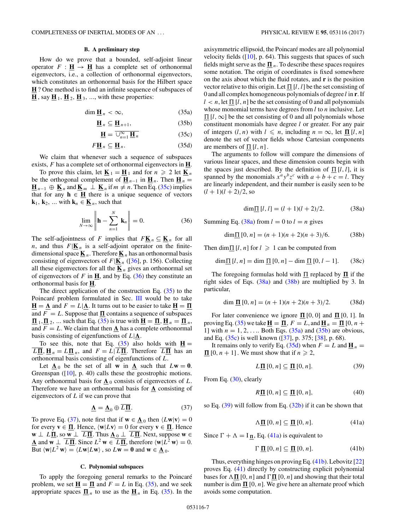### **B. A preliminary step**

How do we prove that a bounded, self-adjoint linear operator  $F : \mathbf{H} \to \mathbf{H}$  has a complete set of orthonormal eigenvectors, i.e., a collection of orthonormal eigenvectors, which constitutes an orthonormal basis for the Hilbert space **H** ? One method is to find an infinite sequence of subspaces of  $\underline{\mathbf{H}}$ , say  $\underline{\mathbf{H}}_1$ ,  $\underline{\mathbf{H}}_2$ ,  $\underline{\mathbf{H}}_3$ , ..., with these properties:

$$
\dim \underline{\mathbf{H}}_n < \infty,\tag{35a}
$$

$$
\underline{\mathbf{H}}_n \subseteq \underline{\mathbf{H}}_{n+1},\tag{35b}
$$

$$
\underline{\mathbf{H}} = \overline{\bigcup_{n=1}^{\infty} \underline{\mathbf{H}}_n}
$$
 (35c)

$$
F\underline{\mathbf{H}}_n \subseteq \underline{\mathbf{H}}_n. \tag{35d}
$$

We claim that whenever such a sequence of subspaces exists, *F* has a complete set of orthonormal eigenvectors in **H**.

To prove this claim, let  $\underline{\mathbf{K}}_1 = \underline{\mathbf{H}}_1$  and for  $n \geq 2$  let  $\underline{\mathbf{K}}_n$ be the orthogonal complement of  $\underline{\mathbf{H}}_{n-1}$  in  $\underline{\mathbf{H}}_n$ . Then  $\underline{\mathbf{H}}_n =$ **H**  $_{n-1}$  ⊕ **K**  $_n$  and **K**  $_m$  ⊥ **K**  $_n$  if  $m \neq n$ . Then Eq. (35c) implies that for any  $h \in \mathbf{H}$  there is a unique sequence of vectors **k**<sub>1</sub>, **k**<sub>2</sub>, ... with **k**<sub>*n*</sub> ∈ **<u><b>K**</u><sub>*n*</sub>, such that

$$
\lim_{N \to \infty} \left\| \mathbf{h} - \sum_{n=1}^{N} \mathbf{k}_{n} \right\| = 0. \tag{36}
$$

The self-adjointness of *F* implies that  $F\underline{\mathbf{K}}_n \subseteq \underline{\mathbf{K}}_n$  for all *n*, and thus  $F|\mathbf{\underline{K}}_n$  is a self-adjoint operator on the finitedimensional space  $\underline{\mathbf{K}}_n$ . Therefore  $\underline{\mathbf{K}}_n$  has an orthonormal basis consisting of eigenvectors of  $F|\mathbf{\underline{K}}_n$  ([36], p. 156). Collecting all these eigenvectors for all the  $\underline{\mathbf{K}}_n$  gives an orthonormal set of eigenvectors of  $F$  in  $\underline{\mathbf{H}}$ , and by Eq. (36) they constitute an orthonormal basis for **H**.

The direct application of the construction Eq. (35) to the Poincaré problem formulated in Sec. III would be to take  $H = \Lambda$  and  $F = L|\Lambda|$ . It turns out to be easier to take  $H = \Pi$ and  $F = L$ . Suppose that  $\overline{\mathbf{\Pi}}$  contains a sequence of subspaces  $\mathbf{\Pi}_1, \mathbf{\Pi}_2, \dots$  such that Eq. (35) is true with  $\mathbf{\mathbf{H}} = \mathbf{\Pi}, \mathbf{\mathbf{H}}_n = \mathbf{\Pi}_n$ , and  $F = L$ . We claim that then  $\underline{\Lambda}$  has a complete orthonormal basis consisting of eigenfunctions of  $L|\Delta$ .

To see this, note that Eq.  $(35)$  also holds with  $H =$  $L\Pi$ ,  $\mathbf{H}_n = L\Pi_n$ , and  $F = L|L\Pi$ . Therefore  $L\Pi$  has an orthonormal basis consisting of eigenfunctions of *L*.

Let  $\underline{\Lambda}$  be the set of all **w** in  $\underline{\Lambda}$  such that  $L**w** = **0**$ . Greenspan ([10], p. 40) calls these the geostrophic motions. Any orthonormal basis for  $\underline{\Lambda}$ <sub>0</sub> consists of eigenvectors of *L*. Therefore we have an orthonormal basis for  $\Lambda$  consisting of eigenvectors of *L* if we can prove that

$$
\underline{\Lambda} = \underline{\Lambda}_0 \oplus \overline{L} \underline{\overline{\Pi}}.
$$
 (37)

To prove Eq. (37), note first that if  $\mathbf{w} \in \mathbf{\underline{\Lambda}}_0$  then  $\langle L\mathbf{w} | \mathbf{v} \rangle = 0$ for every  $\mathbf{v} \in \underline{\Pi}$ . Hence,  $\langle \mathbf{w} | L \mathbf{v} \rangle = 0$  for every  $\mathbf{v} \in \underline{\Pi}$ . Hence **w** ⊥ *L* $\overline{\mathbf{\Pi}}$ , so **w** ⊥ *L* $\overline{\mathbf{\Pi}}$ . Thus  $\underline{\mathbf{\Lambda}}_0$  ⊥ *L* $\overline{\mathbf{\Pi}}$ . Next, suppose **w** ∈  $\underline{\Lambda}$  and  $\mathbf{w} \perp \overline{L} \underline{\Pi}$ . Since  $L^2 \mathbf{w} \in \overline{L} \underline{\Pi}$ , therefore  $\langle \mathbf{w} | L^2 \mathbf{w} \rangle = 0$ . But  $\langle \mathbf{w} | L^2 \mathbf{w} \rangle = \langle L\mathbf{w} | L\mathbf{w} \rangle$ , so  $L\mathbf{w} = \mathbf{0}$  and  $\mathbf{w} \in \mathbf{\underline{\Lambda}}_0$ .

## **C. Polynomial subspaces**

To apply the foregoing general remarks to the Poincaré problem, we set  $\underline{\mathbf{H}} = \underline{\mathbf{\Pi}}$  and  $F = L$  in Eq. (35), and we seek appropriate spaces  $\mathbf{\underline{\Pi}}_n$  to use as the  $\mathbf{\underline{H}}_n$  in Eq. (35). In the

axisymmetric ellipsoid, the Poincaré modes are all polynomial velocity fields ([10], p. 64). This suggests that spaces of such fields might serve as the  $\prod_{n}$ . To describe these spaces requires some notation. The origin of coordinates is fixed somewhere on the axis about which the fluid rotates, and **r** is the position vector relative to this origin. Let  $\Pi$  [*l*, *l*] be the set consisting of 0 and all complex homogeneous polynomials of degree *l* in **r**. If  $l < n$ , let  $\prod [l,n]$  be the set consisting of 0 and all polynomials whose monomial terms have degrees from *l* to *n* inclusive. Let  $\Pi$  [*l*, ∞] be the set consisting of 0 and all polynomials whose constituent monomials have degree *l* or greater. For any pair of integers  $(l, n)$  with  $l \leq n$ , including  $n = \infty$ , let  $\mathbf{\underline{\Pi}}[l, n]$ denote the set of vector fields whose Cartesian components are members of  $\Pi$  [l, n].

The arguments to follow will compare the dimensions of various linear spaces, and these dimension counts begin with the spaces just described. By the definition of  $\Pi$  [*l, l*], it is spanned by the monomials  $x^a y^b z^c$  with  $a + b + c = l$ . They are linearly independent, and their number is easily seen to be  $(l + 1)(l + 2)/2$ , so

$$
\dim \Pi [l, l] = (l+1)(l+2)/2. \tag{38a}
$$

Summing Eq. (38a) from  $l = 0$  to  $l = n$  gives

$$
\dim \Pi [0, n] = (n+1)(n+2)(n+3)/6. \tag{38b}
$$

Then dim  $\Pi$  [l, n] for  $l \geq 1$  can be computed from

$$
\dim \Pi [l, n] = \dim \Pi [0, n] - \dim \Pi [0, l - 1]. \tag{38c}
$$

The foregoing formulas hold with  $\Pi$  replaced by  $\Pi$  if the right sides of Eqs. (38a) and (38b) are multiplied by 3. In particular,

$$
\dim \underline{\Pi}[0, n] = (n+1)(n+2)(n+3)/2. \tag{38d}
$$

For later convenience we ignore  $\Pi$  [0*,* 0] and  $\Pi$  [0*,* 1]. In proving Eq. (35) we take  $\underline{\mathbf{H}} = \underline{\mathbf{\Pi}}$ ,  $F = L$ , and  $\underline{\mathbf{H}}_n = \underline{\mathbf{\Pi}}$  [0, n + 1] with  $n = 1, 2, \ldots$  Both Eqs. (35a) and (35b) are obvious, and Eq. (35c) is well known ([37], p. 375; [38], p. 68).

It remains only to verify Eq. (35d) when  $F = L$  and  $\underline{H}_n =$  $\Pi$  [0, *n* + 1]. We must show that if *n*  $\geq 2$ ,

$$
L\underline{\Pi}[0, n] \subseteq \underline{\Pi}[0, n]. \tag{39}
$$

From Eq. (30), clearly

$$
R\underline{\Pi}[0, n] \subseteq \underline{\Pi}[0, n],\tag{40}
$$

so Eq.  $(39)$  will follow from Eq.  $(32b)$  if it can be shown that

$$
\Lambda \underline{\Pi} [0, n] \subseteq \underline{\Pi} [0, n]. \tag{41a}
$$

Since  $\Gamma + \Lambda = I_{\underline{\Pi}}$ , Eq. (41a) is equivalent to

$$
\Gamma \mathbf{\underline{\Pi}} [0, n] \subseteq \mathbf{\underline{\Pi}} [0, n]. \tag{41b}
$$

Thus, everything hinges on proving Eq. (41b). Lebovitz [22] proves Eq. (41) directly by constructing explicit polynomial bases for  $\Lambda \Pi$  [0, *n*] and  $\Gamma \Pi$  [0, *n*] and showing that their total number is dim  $\Pi$  [0, *n*]. We give here an alternate proof which avoids some computation.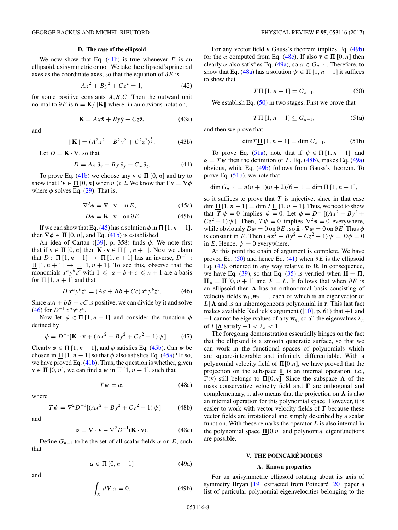## **D. The case of the ellipsoid**

We now show that Eq.  $(41b)$  is true whenever  $E$  is an ellipsoid, axisymmetric or not.We take the ellipsoid's principal axes as the coordinate axes, so that the equation of *∂E* is

$$
Ax2 + By2 + Cz2 = 1,
$$
 (42)

for some positive constants *A,B,C*. Then the outward unit normal to  $\partial E$  is  $\hat{\mathbf{n}} = \mathbf{K}/\|\mathbf{K}\|$  where, in an obvious notation,

$$
\mathbf{K} = Ax\hat{\mathbf{x}} + By\hat{\mathbf{y}} + Cz\hat{\mathbf{z}},\tag{43a}
$$

and

$$
\|\mathbf{K}\| = (A^2x^2 + B^2y^2 + C^2z^2)^{\frac{1}{2}}.
$$
 (43b)

Let  $D = \mathbf{K} \cdot \nabla$ , so that

$$
D = Ax \, \partial_x + By \, \partial_y + Cz \, \partial_z. \tag{44}
$$

To prove Eq. (41b) we choose any  $\mathbf{v} \in \Pi$  [0*, n*] and try to show that  $\Gamma$ **v**  $\in$   $\Pi$  [0, *n*] when *n*  $\geq$  2. We know that  $\Gamma$ **v**  $=$   $\nabla \phi$ where  $\phi$  solves Eq. (29). That is,

$$
\nabla^2 \phi = \nabla \cdot \mathbf{v} \quad \text{in } E,\tag{45a}
$$

$$
D\phi = \mathbf{K} \cdot \mathbf{v} \quad \text{on } \partial E. \tag{45b}
$$

If we can show that Eq. (45) has a solution  $\phi$  in  $\Pi$  [1,  $n + 1$ ], then  $\nabla \phi \in \mathbf{\Pi} [0, n]$ , and Eq. (41b) is established.

An idea of Cartan ( $[39]$ , p. 358) finds  $\phi$ . We note first that if  $\mathbf{v} \in \mathbf{\Pi} [0, n]$  then  $\mathbf{K} \cdot \mathbf{v} \in \mathbf{\Pi} [1, n + 1]$ . Next we claim that  $D: \Pi[1, n+1] \to \Pi[1, n+1]$  has an inverse,  $D^{-1}$ :  $\underline{\Pi}[1, n+1] \rightarrow \underline{\Pi}[1, n+1]$ . To see this, observe that the monomials  $x^a y^b z^c$  with  $1 \le a + b + c \le n + 1$  are a basis for  $\Pi$  [1,  $n + 1$ ] and that

$$
D xa yb zc = (Aa + Bb + Cc) xa yb zc.
$$
 (46)

Since  $aA + bB + cC$  is positive, we can divide by it and solve (46) for  $D^{-1}x^a y^b z^c$ .

Now let  $\psi \in \Pi[1, n-1]$  and consider the function  $\phi$ defined by

$$
\phi = D^{-1}[\mathbf{K} \cdot \mathbf{v} + (Ax^2 + By^2 + Cz^2 - 1)\,\psi].\tag{47}
$$

Clearly  $\phi \in \Pi$  [1,  $n + 1$ ], and  $\phi$  satisfies Eq. (45b). Can  $\psi$  be chosen in  $\Pi$  [1, *n* − 1] so that  $\phi$  also satisfies Eq. (45a)? If so, we have proved Eq. (41b). Thus, the question is whether, given  $\mathbf{v} \in \mathbf{\Pi}$  [0, *n*], we can find a  $\psi$  in  $\Pi$  [1, *n* − 1], such that

$$
T\psi = \alpha, \tag{48a}
$$

where

$$
T\psi = \nabla^2 D^{-1} [(Ax^2 + By^2 + Cz^2 - 1)\psi]
$$
 (48b)

and

$$
\alpha = \nabla \cdot \mathbf{v} - \nabla^2 D^{-1} (\mathbf{K} \cdot \mathbf{v}). \tag{48c}
$$

Define  $G_{n-1}$  to be the set of all scalar fields  $\alpha$  on *E*, such that

$$
\alpha \in \Pi \left[ 0, n-1 \right] \tag{49a}
$$

and

$$
\int_{E} dV \, \alpha = 0. \tag{49b}
$$

For any vector field **v** Gauss's theorem implies Eq. (49b) for the  $\alpha$  computed from Eq. (48c). If also  $\mathbf{v} \in \mathbf{\Pi}$  [0, *n*] then clearly  $\alpha$  also satisfies Eq. (49a), so  $\alpha \in G_{n-1}$ . Therefore, to show that Eq. (48a) has a solution  $\psi \in \Pi$  [1,  $n-1$ ] it suffices to show that

$$
T\mathbf{\underline{\Pi}}\left[1, n-1\right] = G_{n-1}.\tag{50}
$$

We establish Eq.  $(50)$  in two stages. First we prove that

$$
T\mathbf{\underline{\Pi}}\left[1, n-1\right] \subseteq G_{n-1},\tag{51a}
$$

and then we prove that

$$
\dim T \underline{\Pi}[1, n-1] = \dim G_{n-1}.
$$
 (51b)

To prove Eq. (51a), note that if  $\psi \in \Pi[1, n-1]$  and  $\alpha = T \psi$  then the definition of *T*, Eq. (48b), makes Eq. (49a) obvious, while Eq. (49b) follows from Gauss's theorem. To prove Eq. (51b), we note that

$$
\dim G_{n-1} = n(n+1)(n+2)/6 - 1 = \dim \underline{\Pi}[1, n-1],
$$

so it suffices to prove that  $T$  is injective, since in that case  $\dim \Pi [1, n-1] = \dim T \Pi [1, n-1]$ . Thus, we need to show that  $T \psi = 0$  implies  $\psi = 0$ . Let  $\phi = D^{-1}[(Ax^2 + By^2 + E^{-1})]$  $Cz^2 - 1$ )  $\psi$ ]. Then,  $T\psi = 0$  implies  $\nabla^2 \phi = 0$  everywhere, while obviously  $D\phi = 0$  on  $\partial E$ , so  $\hat{\mathbf{n}} \cdot \nabla \phi = 0$  on  $\partial E$ . Thus  $\phi$ is constant in *E*. Then  $(Ax^2 + By^2 + Cz^2 - 1)\psi = D\phi = 0$ in *E*. Hence,  $\psi = 0$  everywhere.

At this point the chain of argument is complete. We have proved Eq. (50) and hence Eq. (41) when *∂E* is the ellipsoid Eq.  $(42)$ , oriented in any way relative to  $\Omega$ . In consequence, we have Eq. (39), so that Eq. (35) is verified when  $H = \Pi$ ,  $\mathbf{H}_n = \mathbf{\Pi} [0, n+1]$  and  $F = L$ . It follows that when  $\partial E$  is an ellipsoid then  $\Lambda$  has an orthonormal basis consisting of velocity fields  $w_1, w_2, \ldots$  each of which is an eigenvector of  $L|\Lambda$  and is an inhomogeneous polynomial in **r**. This last fact makes available Kudlick's argument ([10], p. 61) that  $+1$  and  $-1$  cannot be eigenvalues of any  $w_n$ , so all the eigenvalues  $\lambda_n$ of  $L|\Lambda$  satisfy  $-1 < \lambda_n < 1$ .

The foregoing demonstration essentially hinges on the fact that the ellipsoid is a smooth quadratic surface, so that we can work in the functional spaces of polynomials which are square-integrable and infinitely differentiable. With a polynomial velocity field of  $\Pi[0,n]$ , we have proved that the projection on the subspace  $\underline{\Gamma}$  is an internal operation, i.e.,  $\Gamma$ (**v**) still belongs to  $\Pi[0,n]$ . Since the subspace  $\Lambda$  of the mass conservative velocity field and  $\Gamma$  are orthogonal and complementary, it also means that the projection on  $\Lambda$  is also an internal operation for this polynomial space. However, it is easier to work with vector velocity fields of  $\Gamma$  because these vector fields are irrotational and simply described by a scalar function. With these remarks the operator *L* is also internal in the polynomial space  $\Pi[0,n]$  and polynomial eigenfunctions are possible.

## **V. THE POINCARÉ MODES**

## **A. Known properties**

For an axisymmetric ellipsoid rotating about its axis of symmetry Bryan [19] extracted from Poincaré [20] paper a list of particular polynomial eigenvelocities belonging to the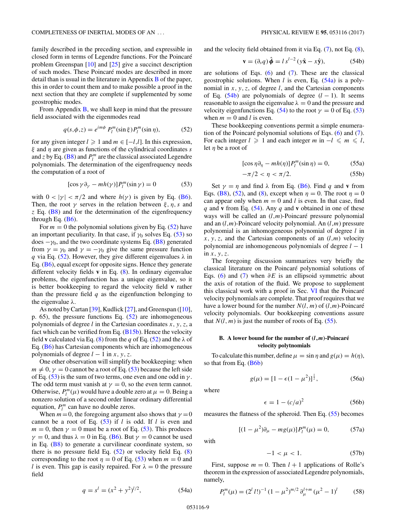family described in the preceding section, and expressible in closed form in terms of Legendre functions. For the Poincaré problem Greenspan [10] and [25] give a succinct description of such modes. These Poincaré modes are described in more detail than is usual in the literature in Appendix  $\overline{B}$  of the paper, this in order to count them and to make possible a proof in the next section that they are complete if supplemented by some geostrophic modes.

From Appendix  $\overline{B}$ , we shall keep in mind that the pressure field associated with the eigenmodes read

$$
q(s,\phi,z) = e^{im\phi} P_l^m(\sin\xi) P_l^m(\sin\eta),\tag{52}
$$

for any given integer  $l \geq 1$  and  $m \in [-l, l]$ . In this expression, *ξ* and *η* are given as functions of the cylindrical coordinates *s* and *z* by Eq. (B8) and  $P_l^m$  are the classical associated Legendre polynomials. The determination of the eigenfrequency needs the computation of a root of

$$
[\cos \gamma \partial_{\gamma} - mh(\gamma)]P_l^m(\sin \gamma) = 0 \tag{53}
$$

with  $0 < |y| < \pi/2$  and where  $h(y)$  is given by Eq. (B6). Then, the root  $\gamma$  serves in the relation between  $\xi, \eta, s$  and *z* Eq. (B8) and for the determination of the eigenfrequency through Eq.  $(B6)$ .

For  $m = 0$  the polynomial solutions given by Eq. (52) have an important peculiarity. In that case, if  $\gamma_0$  solves Eq. (53) so does  $-\gamma_0$ , and the two coordinate systems Eq. (B8) generated from  $\gamma = \gamma_0$  and  $\gamma = -\gamma_0$  give the same pressure function *q* via Eq. (52). However, they give different eigenvalues *λ* in Eq. (B6), equal except for opposite signs. Hence they generate different velocity fields **v** in Eq. (8). In ordinary eigenvalue problems, the eigenfunction has a unique eigenvalue, so it is better bookkeeping to regard the velocity field **v** rather than the pressure field *q* as the eigenfunction belonging to the eigenvalue *λ*.

As noted by Cartan [39], Kudlick [27], and Greenspan ([10], p.  $65$ ), the pressure functions Eq.  $(52)$  are inhomogeneous polynomials of degree  $l$  in the Cartesian coordinates  $x, y, z, a$ fact which can be verified from Eq.  $(B15b)$ . Hence the velocity field **v** calculated via Eq. (8) from the *q* of Eq. (52) and the  $\lambda$  of Eq. (B6) has Cartesian components which are inhomogeneous polynomials of degree  $l - 1$  in  $x, y, z$ .

One other observation will simplify the bookkeeping: when  $m \neq 0$ ,  $\gamma = 0$  cannot be a root of Eq. (53) because the left side of Eq.  $(53)$  is the sum of two terms, one even and one odd in  $\gamma$ . The odd term must vanish at  $\gamma = 0$ , so the even term cannot. Otherwise,  $P_l^m(\mu)$  would have a double zero at  $\mu = 0$ . Being a nonzero solution of a second order linear ordinary differential equation,  $P_l^m$  can have no double zeros.

When  $m=0$ , the foregoing argument also shows that  $\gamma = 0$ cannot be a root of Eq. (53) if *l* is odd. If *l* is even and  $m = 0$ , then  $\gamma = 0$  must be a root of Eq. (53). This produces  $\gamma = 0$ , and thus  $\lambda = 0$  in Eq. (B6). But  $\gamma = 0$  cannot be used in Eq. (B8) to generate a curvilinear coordinate system, so there is no pressure field Eq.  $(52)$  or velocity field Eq.  $(8)$ corresponding to the root  $\eta = 0$  of Eq. (53) when  $m = 0$  and *l* is even. This gap is easily repaired. For  $\lambda = 0$  the pressure field

and the velocity field obtained from it via Eq.  $(7)$ , not Eq.  $(8)$ ,

$$
\mathbf{v} = (\partial_s q) \hat{\boldsymbol{\phi}} = l s^{l-2} (y \hat{\mathbf{x}} - x \hat{\mathbf{y}}), \tag{54b}
$$

are solutions of Eqs.  $(6)$  and  $(7)$ . These are the classical geostrophic solutions. When *l* is even, Eq. (54a) is a polynomial in  $x, y, z$ , of degree  $l$ , and the Cartesian components of Eq. (54b) are polynomials of degree (*l* − 1). It seems reasonable to assign the eigenvalue  $\lambda = 0$  and the pressure and velocity eigenfunctions Eq. (54) to the root  $\gamma = 0$  of Eq. (53) when  $m = 0$  and *l* is even.

These bookkeeping conventions permit a simple enumeration of the Poincaré polynomial solutions of Eqs. (6) and (7). For each integer  $l \geq 1$  and each integer  $m$  in  $-l \leq m \leq l$ , let *η* be a root of

$$
[\cos \eta \partial_{\eta} - mh(\eta)]P_l^m(\sin \eta) = 0,
$$
 (55a)

$$
-\pi/2 < \eta < \pi/2. \tag{55b}
$$

Set  $\gamma = \eta$  and find  $\lambda$  from Eq. (B6). Find *q* and **v** from Eqs. (B8), (52), and (8), except when  $\eta = 0$ . The root  $\eta = 0$ can appear only when  $m = 0$  and *l* is even. In that case, find *q* and **v** from Eq. (54). Any *q* and **v** obtained in one of these ways will be called an (*l,m*)-Poincaré pressure polynomial and an (*l,m*)-Poincaré velocity polynomial. An (*l,m*) pressure polynomial is an inhomogeneous polynomial of degree *l* in  $x, y, z$ , and the Cartesian components of an  $(l,m)$  velocity polynomial are inhomogeneous polynomials of degree *l* − 1 in *x,y,z*.

The foregoing discussion summarizes very briefly the classical literature on the Poincaré polynomial solutions of Eqs. (6) and (7) when *∂E* is an ellipsoid symmetric about the axis of rotation of the fluid. We propose to supplement this classical work with a proof in Sec. VI that the Poincaré velocity polynomials are complete. That proof requires that we have a lower bound for the number *N*(*l,m*) of (*l,m*)-Poincaré velocity polynomials. Our bookkeeping conventions assure that  $N(l, m)$  is just the number of roots of Eq. (55).

## **B. A lower bound for the number of (***l,m***)-Poincaré velocity polytnomials**

To calculate this number, define  $\mu = \sin \eta$  and  $g(\mu) = h(\eta)$ , so that from Eq.  $(B6b)$ 

$$
g(\mu) = [1 - \epsilon (1 - \mu^2)]^{\frac{1}{2}}, \tag{56a}
$$

where

$$
\epsilon = 1 - (c/a)^2 \tag{56b}
$$

measures the flatness of the spheroid. Then Eq. (55) becomes

$$
[(1 - \mu^2)\partial_{\mu} - mg(\mu)]P_l^m(\mu) = 0,
$$
 (57a)

with

$$
-1 < \mu < 1. \tag{57b}
$$

First, suppose  $m = 0$ . Then  $l + 1$  applications of Rolle's theorem in the expression of associated Legendre polynomials, namely,

$$
P_l^m(\mu) = (2^l \, l!)^{-1} \, (1 - \mu^2)^{m/2} \, \partial_{\mu}^{l+m} \, (\mu^2 - 1)^l \tag{58}
$$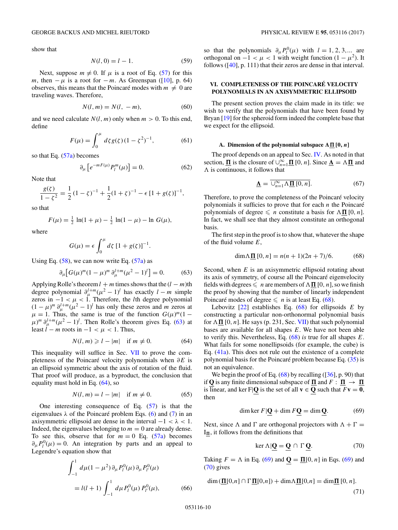show that

$$
N(l, 0) = l - 1.
$$
 (59)

Next, suppose  $m \neq 0$ . If  $\mu$  is a root of Eq. (57) for this *m*, then  $-\mu$  is a root for  $-m$ . As Greenspan ([10], p. 64) observes, this means that the Poincaré modes with  $m \neq 0$  are traveling waves. Therefore,

$$
N(l, m) = N(l, -m),\tag{60}
$$

and we need calculate  $N(l, m)$  only when  $m > 0$ . To this end, define

$$
F(\mu) = \int_0^{\mu} d\zeta g(\zeta) (1 - \zeta^2)^{-1}, \tag{61}
$$

so that Eq. (57a) becomes

$$
\partial_{\mu} \left[ e^{-mF(\mu)} P_l^m(\mu) \right] = 0. \tag{62}
$$

Note that

$$
\frac{g(\zeta)}{1-\zeta^2} = \frac{1}{2}(1-\zeta)^{-1} + \frac{1}{2}(1+\zeta)^{-1} - \epsilon [1+g(\zeta)]^{-1},
$$

so that

$$
F(\mu) = \frac{1}{2} \ln(1 + \mu) - \frac{1}{2} \ln(1 - \mu) - \ln G(\mu),
$$

where

$$
G(\mu) = \epsilon \int_0^{\mu} d\zeta \left[1 + g(\zeta)\right]^{-1}
$$

Using Eq.  $(58)$ , we can now write Eq.  $(57a)$  as

$$
\partial_{\mu} \left[ G(\mu)^{m} (1 - \mu)^{m} \partial_{\mu}^{1 + m} (\mu^{2} - 1)^{l} \right] = 0. \tag{63}
$$

*.*

Applying Rolle's theorem  $l + m$  times shows that the  $(l - m)$ th degree polynomial  $\partial_{\mu}^{l+m}(\mu^2 - 1)^l$  has exactly  $l - m$  simple zeros in  $-1 < \mu < 1$ . Therefore, the *l*th degree polynomial  $(1 - \mu)^m \frac{\partial l}{\mu} + m(\mu^2 - 1)^l$  has only these zeros and *m* zeros at  $\mu = 1$ . Thus, the same is true of the function  $G(\mu)^m(1 \mu$ <sup>*m*</sup>  $\partial_{\mu}^{l+m}(\mu^2 - 1)^l$ . Then Rolle's theorem gives Eq. (63) at least  $l - m$  roots in  $-1 < \mu < 1$ . Thus,

$$
N(l, m) \geqslant l - |m| \quad \text{if } m \neq 0. \tag{64}
$$

This inequality will suffice in Sec. VII to prove the completeness of the Poincaré velocity polynomials when *∂E* is an ellipsoid symmetric about the axis of rotation of the fluid. That proof will produce, as a byproduct, the conclusion that equality must hold in Eq.  $(64)$ , so

$$
N(l, m) = l - |m| \quad \text{if } m \neq 0. \tag{65}
$$

One interesting consequence of Eq. (57) is that the eigenvalues  $\lambda$  of the Poincaré problem Eqs. (6) and (7) in an axisymmetric ellipsoid are dense in the interval  $-1 < \lambda < 1$ . Indeed, the eigenvalues belonging to  $m = 0$  are already dense. To see this, observe that for  $m = 0$  Eq. (57a) becomes  $\partial_{\mu} P_{l}^{0}(\mu) = 0$ . An integration by parts and an appeal to Legendre's equation show that

$$
\int_{-1}^{1} d\mu (1 - \mu^2) \partial_{\mu} P_{l}^{0}(\mu) \partial_{\mu} P_{l'}^{0}(\mu)
$$
  
=  $l(l+1) \int_{-1}^{1} d\mu P_{l}^{0}(\mu) P_{l'}^{0}(\mu),$  (66)

so that the polynomials  $\partial_{\mu} P_{l}^{0}(\mu)$  with  $l = 1, 2, 3,...$  are orthogonal on  $-1 < \mu < 1$  with weight function  $(1 - \mu^2)$ . It follows ([40], p. 111) that their zeros are dense in that interval.

## **VI. COMPLETENESS OF THE POINCARÉ VELOCITY POLYNOMIALS IN AN AXISYMMETRIC ELLIPSOID**

The present section proves the claim made in its title: we wish to verify that the polynomials that have been found by Bryan [19] for the spheroid form indeed the complete base that we expect for the ellipsoid.

## A. Dimension of the polynomial subspace  $\Lambda \Pi$  [0, *n*]

The proof depends on an appeal to Sec. IV. As noted in that section,  $\mathbf{\underline{\Pi}}$  is the closure of  $\cup_{n=1}^{\infty} \mathbf{\underline{\Pi}} [0, n]$ . Since  $\mathbf{\underline{\Lambda}} = \Lambda \mathbf{\underline{\Pi}}$  and  $\Lambda$  is continuous, it follows that

$$
\underline{\Lambda} = \overline{\cup_{n=1}^{\infty} \Lambda \underline{\Pi} \left[0, n\right]}.
$$
\n(67)

Therefore, to prove the completeness of the Poincaré velocity polynomials it sufficies to prove that for each *n* the Poincaré polynomials of degree  $\leq n$  constitute a basis for  $\Lambda \mathbf{\underline{\Pi}} [0, n]$ . In fact, we shall see that they almost constitute an orthogonal basis.

The first step in the proof is to show that, whatever the shape of the fluid volume *E*,

$$
\dim \Lambda \mathbf{\Pi} [0, n] = n(n+1)(2n+7)/6. \tag{68}
$$

Second, when *E* is an axisymmetric ellipsoid rotating about its axis of symmetry, of course all the Poincaré eigenvelocity fields with degrees  $\leq n$  are members of  $\Lambda \mathbf{\Pi}$  [0, *n*], so we finish the proof by showing that the number of linearly independent Poincaré modes of degree  $\leq n$  is at least Eq. (68).

Lebovitz [22] establishes Eq. (68) for ellipsoids *E* by constructing a particular non-orthonormal polynomial basis for  $\Lambda \Pi$  [0, n]. He says (p. 231, Sec. VII) that such polynomial bases are available for all shapes *E*. We have not been able to verify this. Nevertheless, Eq. (68) *is* true for all shapes *E*. What fails for some nonellipsoids (for example, the cube) is Eq. (41a). This does not rule out the existence of a complete polynomial basis for the Poincaré problem because Eq. (35) is not an equivalence.

We begin the proof of Eq. (68) by recalling ([36], p. 90) that if **Q** is any finite dimensional subspace of  $\mathbf{\Pi}$  and  $F : \mathbf{\Pi} \to \mathbf{\Pi}$ is linear, and ker F|**Q** is the set of all  $\mathbf{v} \in \mathbf{Q}$  such that  $F\mathbf{v} = \mathbf{0}$ , then

$$
\dim \ker F[\mathbf{Q} + \dim F\mathbf{Q}] = \dim \mathbf{Q}.\tag{69}
$$

Next, since  $\Lambda$  and  $\Gamma$  are orthogonal projectors with  $\Lambda + \Gamma =$  $I_{\Pi}$ , it follows from the definitions that

$$
\ker \Lambda | \mathbf{Q} = \mathbf{Q} \cap \Gamma \mathbf{Q}.
$$
 (70)

Taking  $F = \Lambda$  in Eq. (69) and  $\mathbf{Q} = \mathbf{\underline{\Pi}}[0, n]$  in Eqs. (69) and (70) gives

$$
\dim(\underline{\Pi}[0,n] \cap \Gamma \underline{\Pi}[0,n]) + \dim \Lambda \underline{\Pi}[0,n] = \dim \underline{\Pi}[0,n].
$$
\n(71)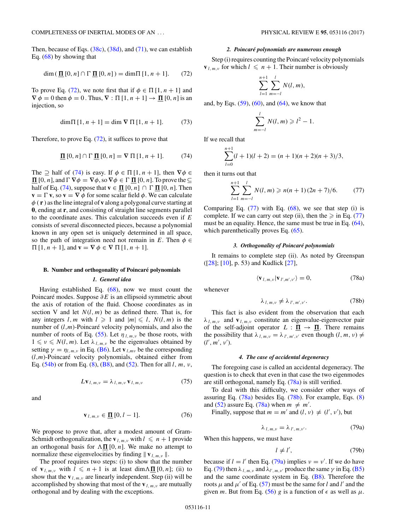Then, because of Eqs.  $(38c)$ ,  $(38d)$ , and  $(71)$ , we can establish Eq. (68) by showing that

$$
\dim\left(\mathbf{\underline{\Pi}}\left[0,n\right]\cap\Gamma\mathbf{\underline{\Pi}}\left[0,n\right]\right) = \dim\Pi\left[1,n+1\right].\tag{72}
$$

To prove Eq. (72), we note first that if  $\phi \in \Pi[1, n+1]$  and  $\nabla \phi = 0$  then  $\phi = 0$ . Thus,  $\nabla : \Pi [1, n+1] \rightarrow \Pi [0, n]$  is an injection, so

$$
\dim \Pi [1, n+1] = \dim \nabla \Pi [1, n+1]. \tag{73}
$$

Therefore, to prove Eq.  $(72)$ , it suffices to prove that

$$
\underline{\Pi}[0,n] \cap \Gamma \underline{\Pi}[0,n] = \nabla \Pi[1,n+1]. \tag{74}
$$

The  $\supseteq$  half of (74) is easy. If  $\phi \in \Pi[1, n+1]$ , then  $\nabla \phi \in$  $\Pi$  [0, *n*], and  $\Gamma \nabla \phi = \nabla \phi$ , so  $\nabla \phi \in \Gamma \Pi$  [0, *n*]. To prove the  $\subseteq$ half of Eq. (74), suppose that  $\mathbf{v} \in \mathbf{\Pi}$  [0, *n*]  $\cap$   $\Gamma$   $\mathbf{\Pi}$  [0, *n*]. Then  $\mathbf{v} = \nabla \mathbf{v}$ , so  $\mathbf{v} = \nabla \phi$  for some scalar field  $\phi$ . We can calculate *φ* ( **r** ) as the line integral of **v** along a polygonal curve starting at **0**, ending at **r**, and consisting of straight line segments parallel to the coordinate axes. This calculation succeeds even if *E* consists of several disconnected pieces, because a polynomial known in any open set is uniquely determined in all space, so the path of integration need not remain in *E*. Then  $\phi \in$  $\Pi$  [1*, n* + 1]*,* and  $\mathbf{v} = \nabla \phi \in \nabla \Pi$  [1*, n* + 1]*.* 

### **B. Number and orthogonality of Poincaré polynomials**

#### *1. General idea*

Having established Eq. (68), now we must count the Poincaré modes. Suppose *∂E* is an ellipsoid symmetric about the axis of rotation of the fluid. Choose coordinates as in section V and let  $N(l, m)$  be as defined there. That is, for any integers *l, m* with  $l \ge 1$  and  $|m| \le l$ ,  $N(l, m)$  is the number of (*l,m*)-Poincaré velocity polynomials, and also the number of roots of Eq. (55). Let  $\eta_{l,m,\nu}$  be those roots, with  $1 \leq v \leq N(l, m)$ . Let  $\lambda_{l,m,v}$  be the eigenvalues obtained by setting  $\gamma = \eta_{l,m,\nu}$  in Eq. (B6). Let  $\mathbf{v}_{l,m\nu}$  be the corresponding (*l,m*)-Poincaré velocity polynomials, obtained either from Eq. (54b) or from Eq. (8), (B8), and (52). Then for all *l, m, ν*,

$$
L\mathbf{v}_{l,m,v} = \lambda_{l,m,v} \mathbf{v}_{l,m,v} \tag{75}
$$

and

$$
\mathbf{v}_{l,m,\nu} \in \mathbf{\underline{\Pi}}\left[0, l-1\right].\tag{76}
$$

We propose to prove that, after a modest amount of Gram-Schmidt orthogonalization, the  $\mathbf{v}_{l,m,\nu}$  with  $l \leq n+1$  provide an orthogonal basis for  $\Lambda \mathbf{\Pi}$  [0, *n*]. We make no attempt to normalize these eigenvelocities by finding  $\|\mathbf{v}_{l,m,\nu}\|$ .

The proof requires two steps: (i) to show that the number of  $\mathbf{v}_{l,m,\nu}$  with  $l \leq n+1$  is at least dim $\Lambda \mathbf{\underline{\Pi}} [0,n]$ ; (ii) to show that the  $\mathbf{v}_{l,m,v}$  are linearly independent. Step (ii) will be accomplished by showing that most of the  $\mathbf{v}_{l,m,\nu}$  are mutually orthogonal and by dealing with the exceptions.

#### *2. Poincaré polynomials are numerous enough*

Step (i) requires counting the Poincaré velocity polynomials  $\mathbf{v}_{l,m,\nu}$  for which  $l \leq n+1$ . Their number is obviously

$$
\sum_{l=1}^{n+1} \sum_{m=-l}^{l} N(l, m),
$$

and, by Eqs.  $(59)$ ,  $(60)$ , and  $(64)$ , we know that

$$
\sum_{m=-l}^{l} N(l, m) \geq l^2 - 1.
$$

If we recall that

$$
\sum_{l=0}^{n+1} (l+1)(l+2) = (n+1)(n+2)(n+3)/3,
$$

then it turns out that

$$
\sum_{l=1}^{n+1} \sum_{m=-l}^{l} N(l, m) \geqslant n(n+1)(2n+7)/6. \tag{77}
$$

Comparing Eq.  $(77)$  with Eq.  $(68)$ , we see that step  $(i)$  is complete. If we can carry out step (ii), then the  $\geq$  in Eq. (77) must be an equality. Hence, the same must be true in Eq.  $(64)$ , which parenthetically proves Eq.  $(65)$ .

### *3. Orthogonality of Poincaré polynomials*

It remains to complete step (ii). As noted by Greenspan ([28]; [10], p. 53) and Kudlick [27],

$$
\langle \mathbf{v}_{l,m,\nu} | \mathbf{v}_{l',m',\nu'} \rangle = 0, \tag{78a}
$$

whenever

$$
\lambda_{l,m,\nu} \neq \lambda_{l',m',\nu'}.\tag{78b}
$$

This fact is also evident from the observation that each  $\lambda_{l,m,\nu}$  and  $\mathbf{v}_{l,m,\nu}$  constitute an eigenvalue-eigenvector pair of the self-adjoint operator  $L : \Pi \rightarrow \Pi$ . There remains the possibility that  $\lambda_{l,m,\nu} = \lambda_{l',m',\nu'}$  even though  $(l,m,\nu) \neq$  $(l', m', v').$ 

## *4. The case of accidental degeneracy*

The foregoing case is called an accidental degeneracy. The question is to check that even in that case the two eigenmodes are still orthogonal, namely Eq. (78a) is still verified.

To deal with this difficulty, we consider other ways of assuring Eq.  $(78a)$  besides Eq.  $(78b)$ . For example, Eqs.  $(8)$ and (52) assure Eq. (78a) when  $m \neq m'$ .

Finally, suppose that  $m = m'$  and  $(l, v) \neq (l', v')$ , but

$$
\lambda_{l,m,\nu} = \lambda_{l',m,\nu'}.\tag{79a}
$$

When this happens, we must have

$$
l \neq l',\tag{79b}
$$

because if  $l = l'$  then Eq. (79a) implies  $v = v'$ . If we do have Eq. (79) then  $\lambda_{l,m,\nu}$  and  $\lambda_{l',m,\nu'}$  produce the same  $\gamma$  in Eq. (B5) and the same coordinate system in Eq.  $(B8)$ . Therefore the roots  $\mu$  and  $\mu'$  of Eq. (57) must be the same for *l* and *l'* and the given *m*. But from Eq. (56) *g* is a function of  $\epsilon$  as well as  $\mu$ .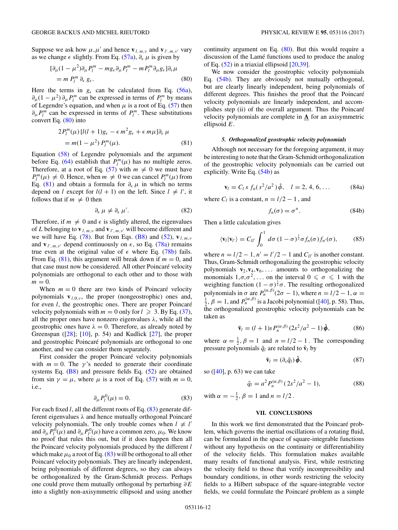Suppose we ask how  $\mu, \mu'$  and hence  $\mathbf{v}_{l,m,\nu}$  and  $\mathbf{v}_{l',m,\nu'}$  vary as we change  $\epsilon$  slightly. From Eq. (57a),  $\partial_{\epsilon} \mu$  is given by

$$
[\partial_{\mu}(1-\mu^{2})\partial_{\mu}P_{l}^{m}-mg_{\epsilon}\partial_{\mu}P_{l}^{m}-mP_{l}^{m}\partial_{\mu}g_{\epsilon}]\partial_{\epsilon}\mu
$$
  
= $m P_{l}^{m}\partial_{\epsilon}g_{\epsilon}.$  (80)

Here the terms in  $g_{\epsilon}$  can be calculated from Eq. (56a),  $\partial_{\mu}(1 - \mu^2) \partial_{\mu} P_l^m$  can be expressed in terms of  $P_l^m$  by means of Legendre's equation, and when  $\mu$  is a root of Eq. (57) then  $\partial_{\mu} P_l^m$  can be expressed in terms of  $P_l^m$ . These substitutions convert Eq.  $(80)$  into

$$
2P_l^m(\mu) \left[l(l+1)g_{\epsilon} - \epsilon m^2 g_{\epsilon} + \epsilon m\mu\right] \partial_{\epsilon} \mu
$$
  
=  $m(1 - \mu^2) P_l^m(\mu)$ . (81)

Equation (58) of Legendre polynomials and the argument before Eq. (64) establish that  $P_l^m(\mu)$  has no multiple zeros. Therefore, at a root of Eq. (57) with  $m \neq 0$  we must have  $P_l^m(\mu) \neq 0$ . Hence, when  $m \neq 0$  we can cancel  $P_l^m(\mu)$  from Eq. (81) and obtain a formula for  $\partial_{\epsilon} \mu$  in which no terms depend on *l* except for  $l(l + 1)$  on the left. Since  $l \neq l'$ , it follows that if  $m \neq 0$  then

$$
\partial_{\epsilon} \mu \neq \partial_{\epsilon} \mu'. \tag{82}
$$

Therefore, if  $m \neq 0$  and  $\epsilon$  is slightly altered, the eigenvalues of *L* belonging to  $\mathbf{v}_{l,m,v}$  and  $\mathbf{v}_{l',m,v'}$  will become different and we will have Eq. (78). But from Eqs. (B8) and (52), **v** *l, m,ν* and  $\mathbf{v}_{l',m,v'}$  depend continuously on  $\epsilon$ , so Eq. (78a) remains true even at the original value of  $\epsilon$  where Eq. (78b) fails. From Eq.  $(81)$ , this argument will break down if  $m = 0$ , and that case must now be considered. All other Poincaré velocity polynomials are orthogonal to each other and to those with  $m = 0$ .

When  $m = 0$  there are two kinds of Poincaré velocity polynomials  $\mathbf{v}_{l,0,\nu}$ , the proper (nongeostrophic) ones and, for even *l*, the geostrophic ones. There are proper Poincaré velocity polynomials with  $m = 0$  only for  $l \ge 3$ . By Eq. (37), all the proper ones have nonzero eigenvalues *λ*, while all the geostrophic ones have  $\lambda = 0$ . Therefore, as already noted by Greenspan  $(28)$ ; [10], p. 54) and Kudlick [27], the proper and geostrophic Poincaré polynomials are orthogonal to one another, and we can consider them separately.

First consider the proper Poincaré velocity polynomials with  $m = 0$ . The  $\gamma$ 's needed to generate their coordinate systems Eq.  $(B8)$  and pressure fields Eq.  $(52)$  are obtained from sin  $\gamma = \mu$ , where  $\mu$  is a root of Eq. (57) with  $m = 0$ , i.e.,

$$
\partial_{\mu} P_{l}^{0}(\mu) = 0. \tag{83}
$$

For each fixed *l*, all the different roots of Eq. (83) generate different eigenvalues *λ* and hence mutually orthogonal Poincaré velocity polynomials. The only trouble comes when  $l \neq l'$ and  $\partial_{\mu} P_{l}^{0}(\mu)$  and  $\partial_{\mu} P_{l'}^{0}(\mu)$  have a common zero,  $\mu_{0}$ . We know no proof that rules this out, but if it does happen then all the Poincaré velocity polynomials produced by the different *l* which make  $\mu_0$  a root of Eq. (83) will be orthogonal to all other Poincaré velocity polynomials. They are linearly independent, being polynomials of different degrees, so they can always be orthogonalized by the Gram-Schmidt process. Perhaps one could prove them mutually orthogonal by perturbing *∂E* into a slightly non-axisymmetric ellipsoid and using another continuity argument on Eq.  $(80)$ . But this would require a discussion of the Lamé functions used to produce the analog of Eq.  $(52)$  in a triaxial ellipsoid  $[20,39]$ .

We now consider the geostrophic velocity polynomials Eq.  $(54b)$ . They are obviously not mutually orthogonal, but are clearly linearly independent, being polynomials of different degrees. This finishes the proof that the Poincaré velocity polynomials are linearly independent, and accomplishes step (ii) of the overall argument. Thus the Poincaré velocity polynomials are complete in  $\Lambda$  for an axisymmetric ellipsoid *E*.

#### *5. Orthogonalized geostrophic velocity polynomials*

Although not necessary for the foregoing argument, it may be interesting to note that the Gram-Schmidt orthogonalization of the geostrophic velocity polynomials can be carried out explicitly. Write Eq. (54b) as

$$
\mathbf{v}_l = C_l \, s \, f_n(s^2/a^2) \, \hat{\phi}, \quad l = 2, \, 4, \, 6, \dots \tag{84a}
$$

where  $C_l$  is a constant,  $n = l/2 - 1$ , and

$$
f_n(\sigma) = \sigma^n. \tag{84b}
$$

Then a little calculation gives

$$
\langle \mathbf{v}_l | \mathbf{v}_{l'} \rangle = C_{ll'} \int_0^1 d\sigma \, (1-\sigma)^{\frac{1}{2}} \sigma f_n(\sigma) f_{n'}(\sigma), \tag{85}
$$

where  $n = l/2 - 1$ ,  $n' = l'/2 - 1$  and  $C_{ll'}$  is another constant. Thus, Gram-Schmidt orthogonalizing the geostrophic velocity polynomials  $\mathbf{v}_2, \mathbf{v}_4, \mathbf{v}_6, \ldots$  amounts to orthogonalizing the monomials  $1, \sigma, \sigma^2, \ldots$  on the interval  $0 \leq \sigma \leq 1$  with the weighting function  $(1 - \sigma)^{\frac{1}{2}}\sigma$ . The resulting orthogonalized polynomials in  $\sigma$  are  $P_n^{(\alpha,\beta)}(2\sigma - 1)$ , where  $n = l/2 - 1$ ,  $\alpha =$  $\frac{1}{2}$ ,  $\beta = 1$ , and  $P_n^{(\alpha,\beta)}$  is a Jacobi polynomial ([40], p. 58). Thus, the orthogonalized geostrophic velocity polynomials can be taken as

$$
\tilde{\mathbf{v}}_l = (l+1)s P_n^{(\alpha,\beta)} (2s^2/a^2 - 1)\hat{\boldsymbol{\phi}},
$$
 (86)

where  $\alpha = \frac{1}{2}, \beta = 1$  and  $n = l/2 - 1$ . The corresponding pressure polynomials  $\tilde{q}_l$  are related to  $\tilde{\mathbf{v}}_l$  by

$$
\tilde{\mathbf{v}}_l = (\partial_s \tilde{q}_l) \hat{\boldsymbol{\phi}},\tag{87}
$$

so ([40], p. 63) we can take

$$
\tilde{q}_l = a^2 P_n^{(\alpha,\beta)} (2s^2/a^2 - 1), \tag{88}
$$

with  $\alpha = -\frac{1}{2}$ ,  $\beta = 1$  and  $n = l/2$ .

#### **VII. CONCLUSIONS**

In this work we first demonstrated that the Poincaré problem, which governs the inertial oscillations of a rotating fluid, can be formulated in the space of square-integrable functions without any hypothesis on the continuity or differentiability of the velocity fields. This formulation makes available many results of functional analysis. First, while restricting the velocity field to those that verify incompressibility and boundary conditions, in other words restricting the velocity fields to a Hilbert subspace of the square-integrable vector fields, we could formulate the Poincaré problem as a simple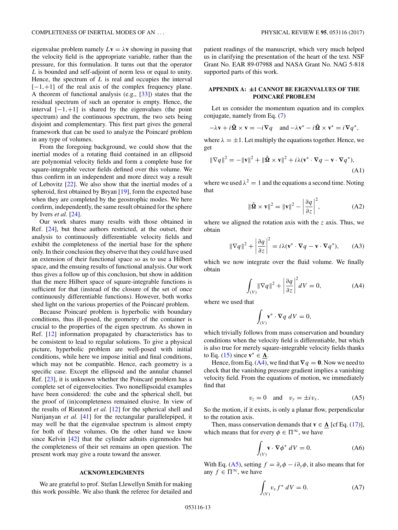eigenvalue problem namely  $L\mathbf{v} = \lambda \mathbf{v}$  showing in passing that the velocity field is the appropriate variable, rather than the pressure, for this formulation. It turns out that the operator *L* is bounded and self-adjoint of norm less or equal to unity. Hence, the spectrum of *L* is real and occupies the interval [−1*,*+1] of the real axis of the complex frequency plane. A theorem of functional analysis (e.g., [33]) states that the residual spectrum of such an operator is empty. Hence, the interval  $[-1, +1]$  is shared by the eigenvalues (the point spectrum) and the continuous spectrum, the two sets being disjoint and complementary. This first part gives the general framework that can be used to analyze the Poincaré problem in any type of volumes.

From the foregoing background, we could show that the inertial modes of a rotating fluid contained in an ellipsoid are polynomial velocity fields and form a complete base for square-integrable vector fields defined over this volume. We thus confirm in an independent and more direct way a result of Lebovitz [22]. We also show that the inertial modes of a spheroid, first obtained by Bryan [19], form the expected base when they are completed by the geostrophic modes. We here confirm, independently, the same result obtained for the sphere by Ivers *et al.* [24].

Our work shares many results with those obtained in Ref. [24], but these authors restricted, at the outset, their analysis to continuously differentiable velocity fields and exhibit the completeness of the inertial base for the sphere only. In their conclusion they observe that they could have used an extension of their functional space so as to use a Hilbert space, and the ensuing results of functional analysis. Our work thus gives a follow up of this conclusion, but show in addition that the mere Hilbert space of square-integrable functions is sufficient for that (instead of the closure of the set of once continuously differentiable functions). However, both works shed light on the various properties of the Poincaré problem.

Because Poincaré problem is hyperbolic with boundary conditions, thus ill-posed, the geometry of the container is crucial to the properties of the eigen spectrum. As shown in Ref. [12] information propagated by characteristics has to be consistent to lead to regular solutions. To give a physical picture, hyperbolic problem are well-posed with initial conditions, while here we impose initial and final conditions, which may not be compatible. Hence, each geometry is a specific case. Except the ellipsoid and the annular channel Ref. [23], it is unknown whether the Poincaré problem has a complete set of eigenvelocities. Two nonellipsoidal examples have been considered: the cube and the spherical shell, but the proof of (in)completeness remained elusive. In view of the results of Rieutord *et al.* [12] for the spherical shell and Nurijanyan *et al.* [41] for the rectangular parallelepiped, it may well be that the eigenvalue spectrum is almost empty for both of these volumes. On the other hand we know since Kelvin [42] that the cylinder admits eigenmodes but the completeness of their set remains an open question. The present work may give a route toward the answer.

#### **ACKNOWLEDGMENTS**

We are grateful to prof. Stefan Llewellyn Smith for making this work possible. We also thank the referee for detailed and

patient readings of the manuscript, which very much helped us in clarifying the presentation of the heart of the text. NSF Grant No. EAR 89-07988 and NASA Grant No. NAG 5-818 supported parts of this work.

## **APPENDIX A: ±1 CANNOT BE EIGENVALUES OF THE POINCARÉ PROBLEM**

Let us consider the momentum equation and its complex conjugate, namely from Eq. (7)

$$
-\lambda \mathbf{v} + i\hat{\mathbf{\Omega}} \times \mathbf{v} = -i\nabla q \quad \text{and} \, -\lambda \mathbf{v}^* - i\hat{\mathbf{\Omega}} \times \mathbf{v}^* = i\nabla q^*,
$$

where  $\lambda = \pm 1$ . Let multiply the equations together. Hence, we get

$$
\|\nabla q\|^2 = -\|\mathbf{v}\|^2 + \|\hat{\mathbf{\Omega}} \times \mathbf{v}\|^2 + i\lambda (\mathbf{v}^* \cdot \nabla q - \mathbf{v} \cdot \nabla q^*),
$$
\n(A1)

where we used  $\lambda^2 = 1$  and the equations a second time. Noting that

$$
\|\hat{\mathbf{\Omega}} \times \mathbf{v}\|^2 = \|\mathbf{v}\|^2 - \left|\frac{\partial q}{\partial z}\right|^2, \tag{A2}
$$

where we aligned the rotation axis with the *z* axis. Thus, we obtain

$$
\|\nabla q\|^2 + \left|\frac{\partial q}{\partial z}\right|^2 = i\lambda(\mathbf{v}^* \cdot \nabla q - \mathbf{v} \cdot \nabla q^*),\tag{A3}
$$

which we now integrate over the fluid volume. We finally obtain

$$
\int_{(V)} \|\nabla q\|^2 + \left|\frac{\partial q}{\partial z}\right|^2 dV = 0,\tag{A4}
$$

where we used that

$$
\int_{(V)} \mathbf{v}^* \cdot \nabla q \ dV = 0,
$$

which trivially follows from mass conservation and boundary conditions when the velocity field is differentiable, but which is also true for merely square-integrable velocity fields thanks to Eq. (15) since  $\mathbf{v}^* \in \Lambda$ .

Hence, from Eq. (A4), we find that  $\nabla q = 0$ . Now we need to check that the vanishing pressure gradient implies a vanishing velocity field. From the equations of motion, we immediately find that

$$
v_z = 0 \quad \text{and} \quad v_y = \pm i v_x. \tag{A5}
$$

So the motion, if it exists, is only a planar flow, perpendicular to the rotation axis.

Then, mass conservation demands that **v**  $\in \mathbf{\Lambda}$  [cf Eq. (17)], which means that for every  $\phi \in \Pi^{\infty}$ , we have

$$
\int_{(V)} \mathbf{v} \cdot \nabla \phi^* dV = 0.
$$
 (A6)

With Eq. (A5), setting  $f = \partial_x \phi - i \partial_y \phi$ , it also means that for any  $f \in \Pi^{\infty}$ , we have

$$
\int_{(V)} v_x f^* dV = 0. \tag{A7}
$$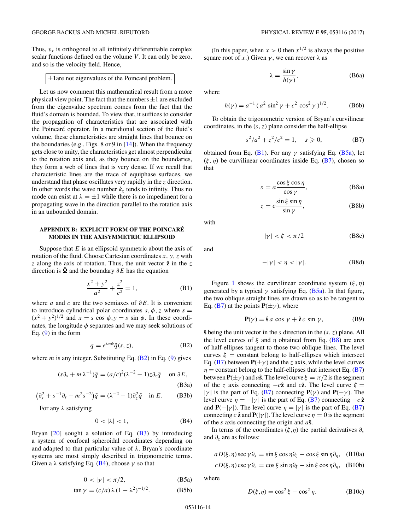Thus,  $v_x$  is orthogonal to all infinitely differentiable complex scalar functions defined on the volume *V* . It can only be zero, and so is the velocity field. Hence,

## ±1are not eigenvalues of the Poincaré problem.

Let us now comment this mathematical result from a more physical view point. The fact that the numbers  $\pm 1$  are excluded from the eigenvalue spectrum comes from the fact that the fluid's domain is bounded. To view that, it suffices to consider the propagation of characteristics that are associated with the Poincaré operator. In a meridional section of the fluid's volume, these characteristics are straight lines that bounce on the boundaries (e.g., Figs.  $8$  or  $9$  in  $[14]$ ). When the frequency gets close to unity, the characteristics get almost perpendicular to the rotation axis and, as they bounce on the boundaries, they form a web of lines that is very dense. If we recall that characteristic lines are the trace of equiphase surfaces, we understand that phase oscillates very rapidly in the *z* direction. In other words the wave number  $k<sub>z</sub>$  tends to infinity. Thus no mode can exist at  $\lambda = \pm 1$  while there is no impediment for a propagating wave in the direction parallel to the rotation axis in an unbounded domain.

## **APPENDIX B: EXPLICIT FORM OF THE POINCARÉ MODES IN THE AXISYMMETRIC ELLIPSOID**

Suppose that *E* is an ellipsoid symmetric about the axis of rotation of the fluid. Choose Cartesian coordinates  $x, y, z$  with  $\bar{z}$  along the axis of rotation. Thus, the unit vector  $\hat{z}$  in the  $\bar{z}$ direction is  $\hat{\Omega}$  and the boundary  $\partial E$  has the equation

$$
\frac{x^2 + y^2}{a^2} + \frac{z^2}{c^2} = 1,
$$
 (B1)

where *a* and *c* are the two semiaxes of *∂E*. It is convenient to introduce cylindrical polar coordinates  $s, \phi, z$  where  $s =$  $(x^2 + y^2)^{1/2}$  and  $x = s \cos \phi$ ,  $y = s \sin \phi$ . In these coordinates, the longitude *φ* separates and we may seek solutions of Eq.  $(9)$  in the form

$$
q = e^{im\phi}\tilde{q}(s, z),\tag{B2}
$$

where  $m$  is any integer. Substituting Eq.  $(B2)$  in Eq.  $(9)$  gives

$$
(s\partial_s + m\lambda^{-1})\tilde{q} = (a/c)^2(\lambda^{-2} - 1)z\partial_z\tilde{q} \quad \text{on } \partial E,
$$

(B3a)

$$
\left(\partial_s^2 + s^{-1}\partial_s - m^2s^{-2}\right)\tilde{q} = (\lambda^{-2} - 1)\partial_z^2\tilde{q} \quad \text{in } E. \tag{B3b}
$$

For any *λ* satisfying

$$
0 < |\lambda| < 1,\tag{B4}
$$

Bryan  $[20]$  sought a solution of Eq.  $(B3)$  by introducing a system of confocal spheroidal coordinates depending on and adapted to that particular value of *λ*. Bryan's coordinate systems are most simply described in trigonometric terms. Given a  $\lambda$  satisfying Eq. (B4), choose  $\gamma$  so that

$$
0 < |\gamma| < \pi/2,\tag{B5a}
$$

$$
\tan \gamma = (c/a) \lambda (1 - \lambda^2)^{-1/2}.
$$
 (B5b)

(In this paper, when  $x > 0$  then  $x^{1/2}$  is always the positive square root of *x*.) Given  $\gamma$ , we can recover  $\lambda$  as

$$
\lambda = \frac{\sin \gamma}{h(\gamma)},
$$
 (B6a)

where

$$
h(\gamma) = a^{-1} (a^2 \sin^2 \gamma + c^2 \cos^2 \gamma)^{1/2}.
$$
 (B6b)

To obtain the trigonometric version of Bryan's curvilinear coordinates, in the  $(s, z)$  plane consider the half-ellipse

$$
s^2/a^2 + z^2/c^2 = 1, \quad s \ge 0,
$$
 (B7)

obtained from Eq. (B1). For any  $\gamma$  satisfying Eq. (B5a), let (*ξ,η*) be curvilinear coordinates inside Eq. (B7), chosen so that

$$
s = a \frac{\cos \xi \cos \eta}{\cos \gamma},
$$
 (B8a)

$$
z = c \frac{\sin \xi \sin \eta}{\sin \gamma},
$$
 (B8b)

with

and

$$
-|\gamma| < \eta < |\gamma|.\tag{B8d}
$$

 $|\gamma| < \xi < \pi/2$  (B8c)

Figure 1 shows the curvilinear coordinate system (*ξ,η*) generated by a typical  $\gamma$  satisfying Eq. (B5a). In that figure, the two oblique straight lines are drawn so as to be tangent to Eq. (B7) at the points  $P(\pm \gamma)$ , where

$$
\mathbf{P}(\gamma) = \hat{\mathbf{s}} \, a \, \cos \, \gamma + \hat{\mathbf{z}} \, c \, \sin \, \gamma, \tag{B9}
$$

 $\hat{\mathbf{s}}$  being the unit vector in the *s* direction in the  $(s, z)$  plane. All the level curves of  $\xi$  and  $\eta$  obtained from Eq. (B8) are arcs of half-ellipses tangent to those two oblique lines. The level curves  $\xi$  = constant belong to half-ellipses which intersect Eq. (B7) between  $P(\pm \gamma)$  and the *z* axis, while the level curves  $\eta$  = constant belong to the half-ellipses that intersect Eq. (B7) between  $P(\pm \gamma)$  and *a***s**̂. The level curve  $\xi = \pi/2$  is the segment of the *z* axis connecting  $-c\hat{z}$  and  $c\hat{z}$ . The level curve  $\xi =$  $|\gamma|$  is the part of Eq. (B7) connecting  $P(\gamma)$  and  $P(-\gamma)$ . The level curve  $\eta = -|\gamma|$  is the part of Eq. (B7) connecting  $-c\hat{z}$ and  $P(-|\gamma|)$ . The level curve  $\eta = |\gamma|$  is the part of Eq. (B7) connecting *c*  $\hat{\mathbf{z}}$  and  $\mathbf{P}(|\gamma|)$ . The level curve  $\eta = 0$  is the segment of the *s* axis connecting the origin and *a***sˆ**.

In terms of the coordinates  $(\xi, \eta)$  the partial derivatives  $\partial_s$ and *∂z* are as follows:

$$
aD(\xi, \eta) \sec \gamma \partial_s = \sin \xi \cos \eta \partial_{\xi} - \cos \xi \sin \eta \partial_{\eta}, \quad \text{(B10a)}
$$
  

$$
cD(\xi, \eta) \csc \gamma \partial_{z} = \cos \xi \sin \eta \partial_{\xi} - \sin \xi \cos \eta \partial_{\eta}, \quad \text{(B10b)}
$$

where

$$
D(\xi, \eta) = \cos^2 \xi - \cos^2 \eta. \tag{B10c}
$$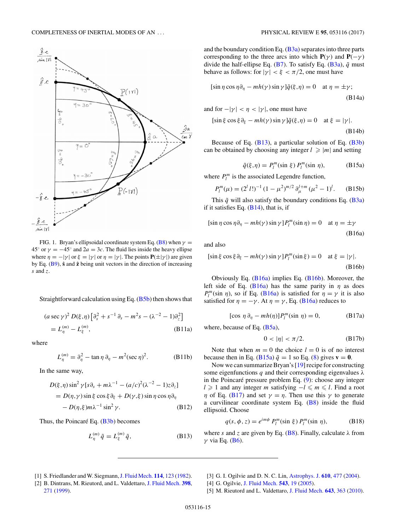

FIG. 1. Bryan's ellipsoidal coordinate system Eq. (B8) when  $\gamma =$  $45°$  or  $\gamma = -45°$  and  $2a = 3c$ . The fluid lies inside the heavy ellipse where  $\eta = -|\gamma|$  or  $\xi = |\gamma|$  or  $\eta = |\gamma|$ . The points  $P(\pm |\gamma|)$  are given by Eq. (B9),  $\hat{\mathbf{s}}$  and  $\hat{\mathbf{z}}$  being unit vectors in the direction of increasing *s* and *z*.

Straightforward calculation using Eq. (B5b) then shows that

$$
(a \sec \gamma)^2 D(\xi, \eta) \left[ \partial_s^2 + s^{-1} \partial_s - m^2 s - (\lambda^{-2} - 1) \partial_z^2 \right]
$$
  
=  $L_{\eta}^{(m)} - L_{\xi}^{(m)}$ , (B11a)

where

$$
L_{\eta}^{(m)} = \partial_{\eta}^{2} - \tan \eta \, \partial_{\eta} - m^{2} (\sec \eta)^{2}.
$$
 (B11b)

In the same way,

$$
D(\xi, \eta) \sin^2 \gamma [s \partial_s + m \lambda^{-1} - (a/c)^2 (\lambda^{-2} - 1) z \partial_z]
$$
  
= 
$$
D(\eta, \gamma) \sin \xi \cos \xi \partial_{\xi} + D(\gamma, \xi) \sin \eta \cos \eta \partial_{\eta}
$$
  
- 
$$
D(\eta, \xi) m \lambda^{-1} \sin^2 \gamma.
$$
 (B12)

Thus, the Poincaré Eq. (B3b) becomes

$$
L_{\eta}^{(m)}\tilde{q} = L_{\xi}^{(m)}\tilde{q},\tag{B13}
$$

and the boundary condition Eq. (B3a) separates into three parts corresponding to the three arcs into which  $P(\gamma)$  and  $P(-\gamma)$ divide the half-ellipse Eq.  $(B7)$ . To satisfy Eq.  $(B3a)$ ,  $\tilde{q}$  must behave as follows: for  $|\gamma| < \xi < \pi/2$ , one must have

$$
[\sin \eta \cos \eta \partial_{\eta} - mh(\gamma) \sin \gamma] \tilde{q}(\xi, \eta) = 0 \quad \text{at } \eta = \pm \gamma;
$$
\n(B14a)

and for  $-|\gamma| < \eta < |\gamma|$ , one must have

$$
[\sin \xi \cos \xi \partial_{\xi} - mh(\gamma) \sin \gamma] \tilde{q}(\xi, \eta) = 0 \quad \text{at } \xi = |\gamma|.
$$
\n(B14b)

Because of Eq.  $(B13)$ , a particular solution of Eq.  $(B3b)$ can be obtained by choosing any integer  $l \geqslant |m|$  and setting

$$
\tilde{q}(\xi, \eta) = P_l^m(\sin \xi) P_l^m(\sin \eta), \tag{B15a}
$$

where  $P_l^m$  is the associated Legendre function,

$$
P_l^m(\mu) = (2^l \, l!)^{-1} \, (1 - \mu^2)^{m/2} \, \partial_{\mu}^{l+m} \, (\mu^2 - 1)^l. \tag{B15b}
$$

This  $\tilde{q}$  will also satisfy the boundary conditions Eq. (B3a) if it satisfies Eq.  $(B14)$ , that is, if

$$
[\sin \eta \cos \eta \partial_{\eta} - mh(\gamma) \sin \gamma] P_l^m(\sin \eta) = 0 \quad \text{at } \eta = \pm \gamma
$$
\n(B16a)

and also

$$
[\sin \xi \cos \xi \partial_{\xi} - mh(\gamma) \sin \gamma] P_l^m(\sin \xi) = 0 \quad \text{at } \xi = |\gamma|.
$$
\n(B16b)

Obviously Eq.  $(B16a)$  implies Eq.  $(B16b)$ . Moreover, the left side of Eq. ( $B16a$ ) has the same parity in  $\eta$  as does *P*<sup>*m*</sup>(sin *η*), so if Eq. (B16a) is satisfied for  $\eta = \gamma$  it is also satisfied for  $\eta = -\gamma$ . At  $\eta = \gamma$ , Eq. (B16a) reduces to

$$
[\cos \eta \, \partial_{\eta} - mh(\eta)] P_l^m(\sin \eta) = 0, \tag{B17a}
$$

where, because of Eq. (B5a),

$$
0 < |\eta| < \pi/2. \tag{B17b}
$$

Note that when  $m = 0$  the choice  $l = 0$  is of no interest because then in Eq. (B15a)  $\tilde{q} = 1$  so Eq. (8) gives  $\mathbf{v} = \mathbf{0}$ .

Now we can summarize Bryan's [19] recipe for constructing some eigenfunctions *q* and their corresponding eigenvalues *λ* in the Poincaré pressure problem Eq. (9): choose any integer *l*  $\ge$  1 and any integer *m* satisfying  $-l \le m \le l$ . Find a root *η* of Eq. (B17) and set  $\gamma = \eta$ . Then use this  $\gamma$  to generate a curvilinear coordinate system Eq. (B8) inside the fluid ellipsoid. Choose

$$
q(s, \phi, z) = e^{im\phi} P_l^m(\sin \xi) P_l^m(\sin \eta), \tag{B18}
$$

where *s* and *z* are given by Eq. (B8). Finally, calculate *λ* from *γ* via Eq. (B6).

- [1] S. Friedlander and W. Siegmann, [J. Fluid Mech.](https://doi.org/10.1017/S002211208200007X) [114](https://doi.org/10.1017/S002211208200007X), [123](https://doi.org/10.1017/S002211208200007X) [\(1982\)](https://doi.org/10.1017/S002211208200007X).
- [2] B. Dintrans, M. Rieutord, and L. Valdettaro, [J. Fluid Mech.](https://doi.org/10.1017/S0022112099006308) **[398](https://doi.org/10.1017/S0022112099006308)**, [271](https://doi.org/10.1017/S0022112099006308) [\(1999\)](https://doi.org/10.1017/S0022112099006308).
- [3] G. I. Ogilvie and D. N. C. Lin, [Astrophys. J.](https://doi.org/10.1086/421454) **[610](https://doi.org/10.1086/421454)**, [477](https://doi.org/10.1086/421454) [\(2004\)](https://doi.org/10.1086/421454).
- [4] G. Ogilvie, [J. Fluid Mech.](https://doi.org/10.1017/S0022112005006580) **[543](https://doi.org/10.1017/S0022112005006580)**, [19](https://doi.org/10.1017/S0022112005006580) [\(2005\)](https://doi.org/10.1017/S0022112005006580).
- [5] M. Rieutord and L. Valdettaro, [J. Fluid Mech.](https://doi.org/10.1017/S002211200999214X) **[643](https://doi.org/10.1017/S002211200999214X)**, [363](https://doi.org/10.1017/S002211200999214X) [\(2010\)](https://doi.org/10.1017/S002211200999214X).